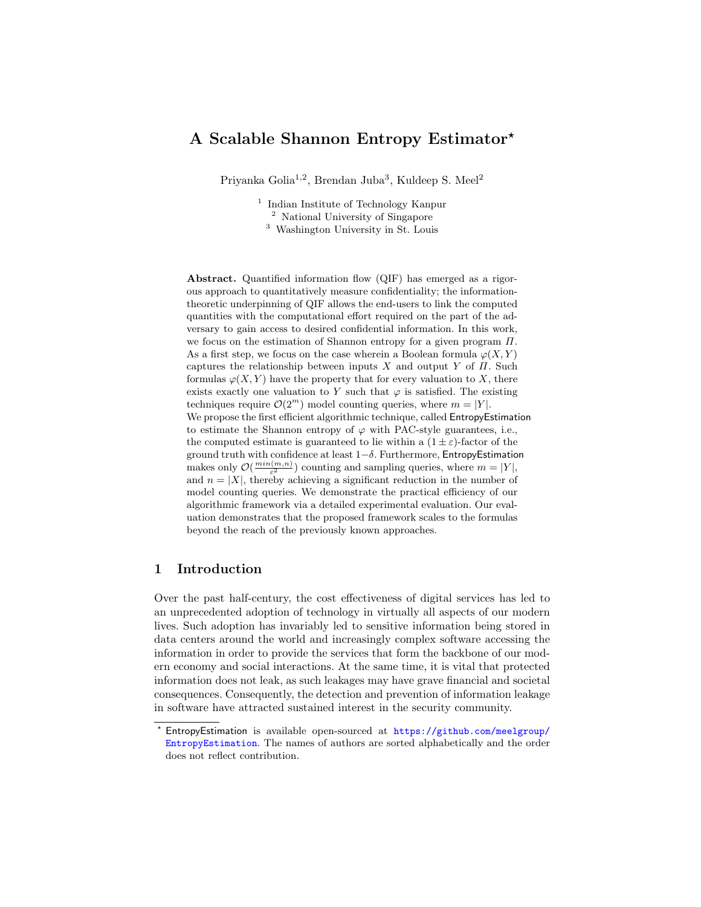# A Scalable Shannon Entropy Estimator?

Priyanka Golia<sup>1,2</sup>, Brendan Juba<sup>3</sup>, Kuldeep S. Meel<sup>2</sup>

<sup>1</sup> Indian Institute of Technology Kanpur <sup>2</sup> National University of Singapore <sup>3</sup> Washington University in St. Louis

Abstract. Quantified information flow (QIF) has emerged as a rigorous approach to quantitatively measure confidentiality; the informationtheoretic underpinning of QIF allows the end-users to link the computed quantities with the computational effort required on the part of the adversary to gain access to desired confidential information. In this work, we focus on the estimation of Shannon entropy for a given program  $\Pi$ . As a first step, we focus on the case wherein a Boolean formula  $\varphi(X, Y)$ captures the relationship between inputs X and output Y of  $\Pi$ . Such formulas  $\varphi(X, Y)$  have the property that for every valuation to X, there exists exactly one valuation to Y such that  $\varphi$  is satisfied. The existing techniques require  $\mathcal{O}(2^m)$  model counting queries, where  $m = |Y|$ . We propose the first efficient algorithmic technique, called EntropyEstimation to estimate the Shannon entropy of  $\varphi$  with PAC-style guarantees, i.e., the computed estimate is guaranteed to lie within a  $(1 \pm \varepsilon)$ -factor of the ground truth with confidence at least  $1-\delta$ . Furthermore, EntropyEstimation makes only  $\mathcal{O}(\frac{min(m,n)}{\varepsilon^2})$  counting and sampling queries, where  $m = |Y|$ , and  $n = |X|$ , thereby achieving a significant reduction in the number of model counting queries. We demonstrate the practical efficiency of our algorithmic framework via a detailed experimental evaluation. Our evaluation demonstrates that the proposed framework scales to the formulas beyond the reach of the previously known approaches.

### <span id="page-0-0"></span>1 Introduction

Over the past half-century, the cost effectiveness of digital services has led to an unprecedented adoption of technology in virtually all aspects of our modern lives. Such adoption has invariably led to sensitive information being stored in data centers around the world and increasingly complex software accessing the information in order to provide the services that form the backbone of our modern economy and social interactions. At the same time, it is vital that protected information does not leak, as such leakages may have grave financial and societal consequences. Consequently, the detection and prevention of information leakage in software have attracted sustained interest in the security community.

<sup>?</sup> EntropyEstimation is available open-sourced at [https://github.com/meelgroup/](https://github.com/meelgroup/EntropyEstimation) [EntropyEstimation](https://github.com/meelgroup/EntropyEstimation). The names of authors are sorted alphabetically and the order does not reflect contribution.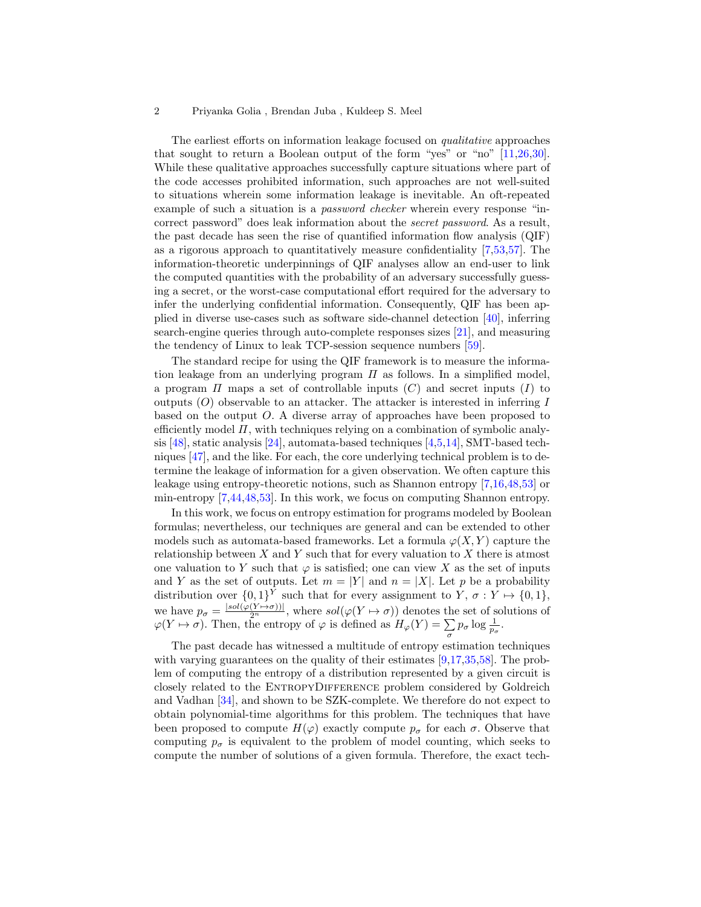The earliest efforts on information leakage focused on qualitative approaches that sought to return a Boolean output of the form "yes" or "no" [\[11,](#page-18-0)[26,](#page-19-0)[30\]](#page-19-1). While these qualitative approaches successfully capture situations where part of the code accesses prohibited information, such approaches are not well-suited to situations wherein some information leakage is inevitable. An oft-repeated example of such a situation is a password checker wherein every response "incorrect password" does leak information about the secret password. As a result, the past decade has seen the rise of quantified information flow analysis (QIF) as a rigorous approach to quantitatively measure confidentiality [\[7,](#page-18-1)[53,](#page-20-0)[57\]](#page-20-1). The information-theoretic underpinnings of QIF analyses allow an end-user to link the computed quantities with the probability of an adversary successfully guessing a secret, or the worst-case computational effort required for the adversary to infer the underlying confidential information. Consequently, QIF has been applied in diverse use-cases such as software side-channel detection [\[40\]](#page-19-2), inferring search-engine queries through auto-complete responses sizes [\[21\]](#page-18-2), and measuring the tendency of Linux to leak TCP-session sequence numbers [\[59\]](#page-20-2).

The standard recipe for using the QIF framework is to measure the information leakage from an underlying program  $\Pi$  as follows. In a simplified model, a program  $\Pi$  maps a set of controllable inputs  $(C)$  and secret inputs  $(I)$  to outputs  $(O)$  observable to an attacker. The attacker is interested in inferring I based on the output O. A diverse array of approaches have been proposed to efficiently model  $\Pi$ , with techniques relying on a combination of symbolic analysis  $[48]$ , static analysis  $[24]$ , automata-based techniques  $[4,5,14]$  $[4,5,14]$  $[4,5,14]$ , SMT-based techniques [\[47\]](#page-20-4), and the like. For each, the core underlying technical problem is to determine the leakage of information for a given observation. We often capture this leakage using entropy-theoretic notions, such as Shannon entropy [\[7,](#page-18-1)[16,](#page-18-6)[48,](#page-20-3)[53\]](#page-20-0) or min-entropy [\[7](#page-18-1)[,44,](#page-20-5)[48,](#page-20-3)[53\]](#page-20-0). In this work, we focus on computing Shannon entropy.

In this work, we focus on entropy estimation for programs modeled by Boolean formulas; nevertheless, our techniques are general and can be extended to other models such as automata-based frameworks. Let a formula  $\varphi(X, Y)$  capture the relationship between  $X$  and  $Y$  such that for every valuation to  $X$  there is atmost one valuation to Y such that  $\varphi$  is satisfied; one can view X as the set of inputs and Y as the set of outputs. Let  $m = |Y|$  and  $n = |X|$ . Let p be a probability distribution over  $\{0,1\}^Y$  such that for every assignment to  $Y, \sigma: Y \mapsto \{0,1\},\$ we have  $p_{\sigma} = \frac{|sol(\varphi(Y \mapsto \sigma))|}{2^n}$ , where  $sol(\varphi(Y \mapsto \sigma))$  denotes the set of solutions of  $\varphi(Y \mapsto \sigma)$ . Then, the entropy of  $\varphi$  is defined as  $H_{\varphi}(Y) = \sum_{\sigma} p_{\sigma} \log \frac{1}{p_{\sigma}}$ .

The past decade has witnessed a multitude of entropy estimation techniques with varying guarantees on the quality of their estimates [\[9,](#page-18-7)[17,](#page-18-8)[35,](#page-19-4)[58\]](#page-20-6). The problem of computing the entropy of a distribution represented by a given circuit is closely related to the ENTROPYDIFFERENCE problem considered by Goldreich and Vadhan [\[34\]](#page-19-5), and shown to be SZK-complete. We therefore do not expect to obtain polynomial-time algorithms for this problem. The techniques that have been proposed to compute  $H(\varphi)$  exactly compute  $p_{\sigma}$  for each  $\sigma$ . Observe that computing  $p_{\sigma}$  is equivalent to the problem of model counting, which seeks to compute the number of solutions of a given formula. Therefore, the exact tech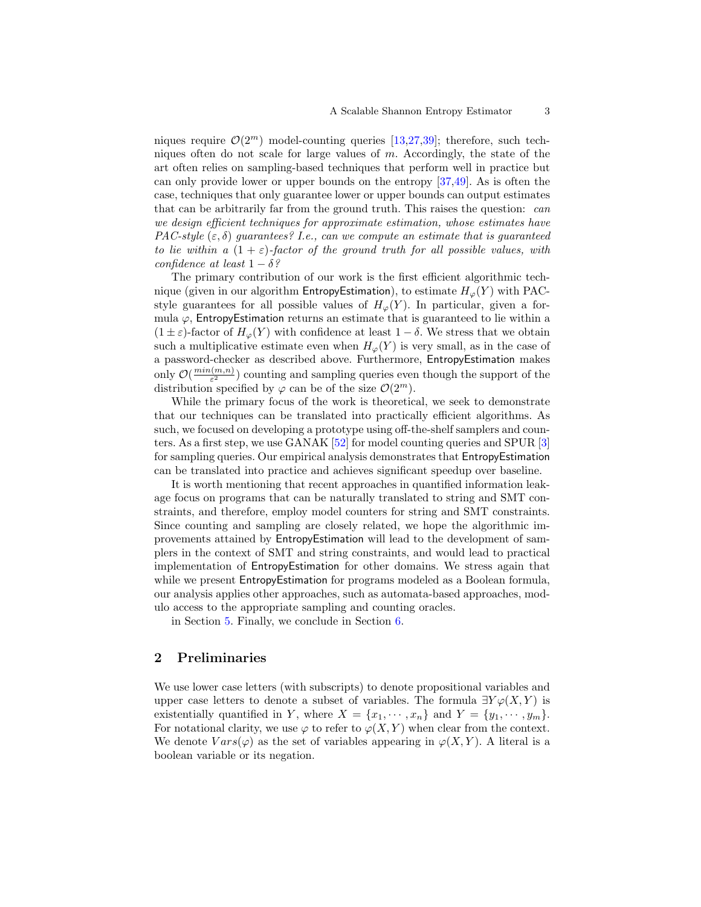niques require  $\mathcal{O}(2^m)$  model-counting queries [\[13,](#page-18-9)[27,](#page-19-6)[39\]](#page-19-7); therefore, such techniques often do not scale for large values of  $m$ . Accordingly, the state of the art often relies on sampling-based techniques that perform well in practice but can only provide lower or upper bounds on the entropy [\[37,](#page-19-8)[49\]](#page-20-7). As is often the case, techniques that only guarantee lower or upper bounds can output estimates that can be arbitrarily far from the ground truth. This raises the question: can we design efficient techniques for approximate estimation, whose estimates have PAC-style  $(\varepsilon, \delta)$  guarantees? I.e., can we compute an estimate that is quaranteed to lie within a  $(1 + \varepsilon)$ -factor of the ground truth for all possible values, with confidence at least  $1 - \delta$ ?

The primary contribution of our work is the first efficient algorithmic technique (given in our algorithm EntropyEstimation), to estimate  $H_{\varphi}(Y)$  with PACstyle guarantees for all possible values of  $H_{\varphi}(Y)$ . In particular, given a formula  $\varphi$ , EntropyEstimation returns an estimate that is guaranteed to lie within a  $(1 \pm \varepsilon)$ -factor of  $H_{\varphi}(Y)$  with confidence at least  $1 - \delta$ . We stress that we obtain such a multiplicative estimate even when  $H_{\varphi}(Y)$  is very small, as in the case of a password-checker as described above. Furthermore, EntropyEstimation makes only  $\mathcal{O}(\frac{min(m,n)}{\epsilon^2})$  $(\frac{n(n,n)}{\varepsilon^2})$  counting and sampling queries even though the support of the distribution specified by  $\varphi$  can be of the size  $\mathcal{O}(2^m)$ .

While the primary focus of the work is theoretical, we seek to demonstrate that our techniques can be translated into practically efficient algorithms. As such, we focused on developing a prototype using off-the-shelf samplers and counters. As a first step, we use GANAK [\[52\]](#page-20-8) for model counting queries and SPUR [\[3\]](#page-18-10) for sampling queries. Our empirical analysis demonstrates that EntropyEstimation can be translated into practice and achieves significant speedup over baseline.

It is worth mentioning that recent approaches in quantified information leakage focus on programs that can be naturally translated to string and SMT constraints, and therefore, employ model counters for string and SMT constraints. Since counting and sampling are closely related, we hope the algorithmic improvements attained by EntropyEstimation will lead to the development of samplers in the context of SMT and string constraints, and would lead to practical implementation of EntropyEstimation for other domains. We stress again that while we present EntropyEstimation for programs modeled as a Boolean formula, our analysis applies other approaches, such as automata-based approaches, modulo access to the appropriate sampling and counting oracles.

in Section [5.](#page-15-0) Finally, we conclude in Section [6.](#page-17-0)

## 2 Preliminaries

We use lower case letters (with subscripts) to denote propositional variables and upper case letters to denote a subset of variables. The formula  $\exists Y \varphi(X, Y)$  is existentially quantified in Y, where  $X = \{x_1, \dots, x_n\}$  and  $Y = \{y_1, \dots, y_m\}$ . For notational clarity, we use  $\varphi$  to refer to  $\varphi(X, Y)$  when clear from the context. We denote  $Vars(\varphi)$  as the set of variables appearing in  $\varphi(X, Y)$ . A literal is a boolean variable or its negation.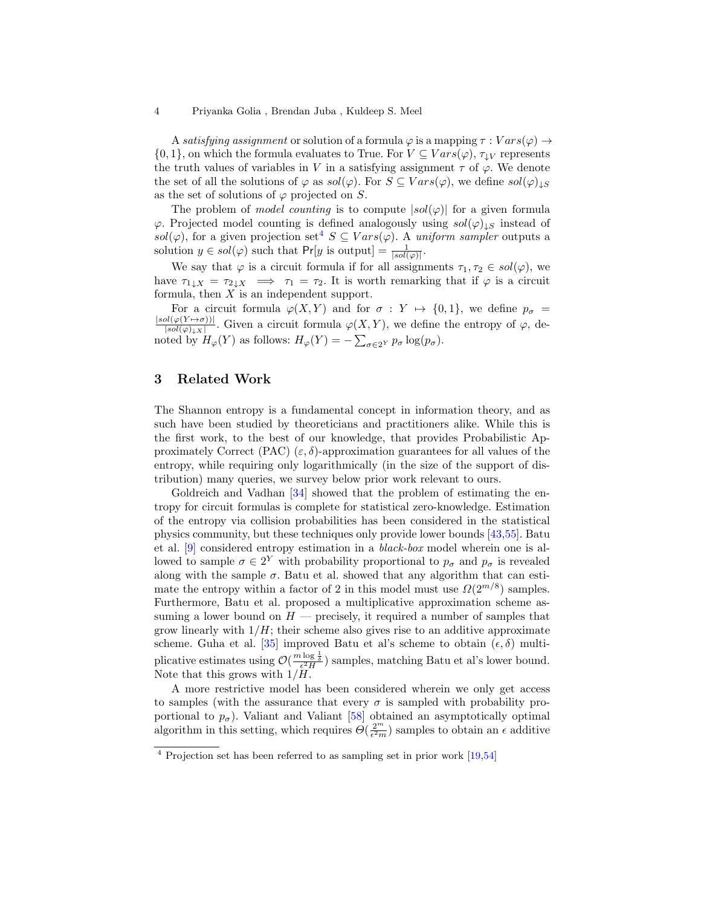A satisfying assignment or solution of a formula  $\varphi$  is a mapping  $\tau : Vars(\varphi) \rightarrow$  $\{0,1\}$ , on which the formula evaluates to True. For  $V \subseteq Vars(\varphi)$ ,  $\tau_{\downarrow}V$  represents the truth values of variables in V in a satisfying assignment  $\tau$  of  $\varphi$ . We denote the set of all the solutions of  $\varphi$  as  $sol(\varphi)$ . For  $S \subseteq Vars(\varphi)$ , we define  $sol(\varphi)_{\downarrow S}$ as the set of solutions of  $\varphi$  projected on S.

The problem of *model counting* is to compute  $|sol(\varphi)|$  for a given formula  $\varphi$ . Projected model counting is defined analogously using  $sol(\varphi)_{\downarrow S}$  instead of sol( $\varphi$ ), for a given projection set<sup>[4](#page-3-0)</sup>  $S \subseteq Vars(\varphi)$ . A uniform sampler outputs a solution  $y \in sol(\varphi)$  such that  $Pr[y \text{ is output}] = \frac{1}{|sol(\varphi)|}$ .

We say that  $\varphi$  is a circuit formula if for all assignments  $\tau_1, \tau_2 \in sol(\varphi)$ , we have  $\tau_{1\downarrow X} = \tau_{2\downarrow X} \implies \tau_1 = \tau_2$ . It is worth remarking that if  $\varphi$  is a circuit formula, then  $X$  is an independent support.

For a circuit formula  $\varphi(X, Y)$  and for  $\sigma : Y \mapsto \{0, 1\}$ , we define  $p_{\sigma} =$  $|sol(\varphi(Y \mapsto \sigma))|$  $\frac{\partial l(\varphi(Y \mapsto \sigma))}{\partial s \partial(\varphi)_{\downarrow} x}$ . Given a circuit formula  $\varphi(X, Y)$ , we define the entropy of  $\varphi$ , denoted by  $H_{\varphi}(Y)$  as follows:  $H_{\varphi}(Y) = -\sum_{\sigma \in 2^Y} p_{\sigma} \log(p_{\sigma}).$ 

### 3 Related Work

The Shannon entropy is a fundamental concept in information theory, and as such have been studied by theoreticians and practitioners alike. While this is the first work, to the best of our knowledge, that provides Probabilistic Approximately Correct (PAC)  $(\varepsilon, \delta)$ -approximation guarantees for all values of the entropy, while requiring only logarithmically (in the size of the support of distribution) many queries, we survey below prior work relevant to ours.

Goldreich and Vadhan [\[34\]](#page-19-5) showed that the problem of estimating the entropy for circuit formulas is complete for statistical zero-knowledge. Estimation of the entropy via collision probabilities has been considered in the statistical physics community, but these techniques only provide lower bounds [\[43,](#page-20-9)[55\]](#page-20-10). Batu et al. [\[9\]](#page-18-7) considered entropy estimation in a black-box model wherein one is allowed to sample  $\sigma \in 2^Y$  with probability proportional to  $p_{\sigma}$  and  $p_{\sigma}$  is revealed along with the sample  $\sigma$ . Batu et al. showed that any algorithm that can estimate the entropy within a factor of 2 in this model must use  $\Omega(2^{m/8})$  samples. Furthermore, Batu et al. proposed a multiplicative approximation scheme assuming a lower bound on  $H$  — precisely, it required a number of samples that grow linearly with  $1/H$ ; their scheme also gives rise to an additive approximate scheme. Guha et al. [\[35\]](#page-19-4) improved Batu et al's scheme to obtain  $(\epsilon, \delta)$  multiplicative estimates using  $\mathcal{O}(\frac{m \log \frac{1}{\delta}}{\epsilon^2 H})$  samples, matching Batu et al's lower bound. Note that this grows with  $1/H$ .

A more restrictive model has been considered wherein we only get access to samples (with the assurance that every  $\sigma$  is sampled with probability proportional to  $p_{\sigma}$ ). Valiant and Valiant [\[58\]](#page-20-6) obtained an asymptotically optimal algorithm in this setting, which requires  $\Theta(\frac{2^m}{\epsilon^2 m})$  samples to obtain an  $\epsilon$  additive

<span id="page-3-0"></span><sup>4</sup> Projection set has been referred to as sampling set in prior work [\[19,](#page-18-11)[54\]](#page-20-11)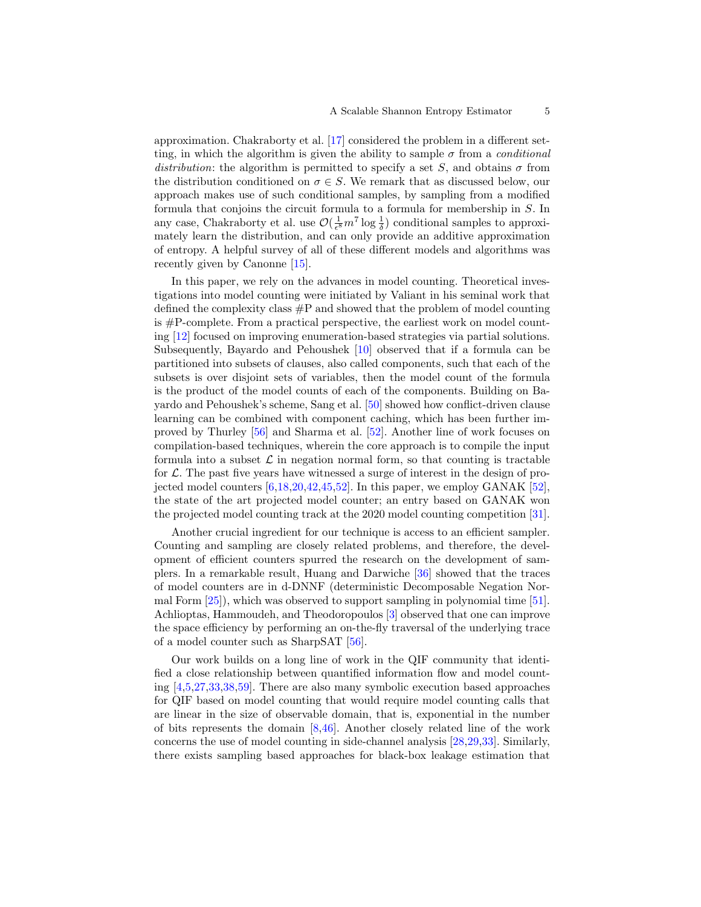approximation. Chakraborty et al. [\[17\]](#page-18-8) considered the problem in a different setting, in which the algorithm is given the ability to sample  $\sigma$  from a *conditional* distribution: the algorithm is permitted to specify a set S, and obtains  $\sigma$  from the distribution conditioned on  $\sigma \in S$ . We remark that as discussed below, our approach makes use of such conditional samples, by sampling from a modified formula that conjoins the circuit formula to a formula for membership in S. In any case, Chakraborty et al. use  $\mathcal{O}(\frac{1}{\epsilon^8}m^7 \log \frac{1}{\delta})$  conditional samples to approximately learn the distribution, and can only provide an additive approximation of entropy. A helpful survey of all of these different models and algorithms was recently given by Canonne [\[15\]](#page-18-12).

In this paper, we rely on the advances in model counting. Theoretical investigations into model counting were initiated by Valiant in his seminal work that defined the complexity class  $\#P$  and showed that the problem of model counting is #P-complete. From a practical perspective, the earliest work on model counting [\[12\]](#page-18-13) focused on improving enumeration-based strategies via partial solutions. Subsequently, Bayardo and Pehoushek [\[10\]](#page-18-14) observed that if a formula can be partitioned into subsets of clauses, also called components, such that each of the subsets is over disjoint sets of variables, then the model count of the formula is the product of the model counts of each of the components. Building on Bayardo and Pehoushek's scheme, Sang et al. [\[50\]](#page-20-12) showed how conflict-driven clause learning can be combined with component caching, which has been further improved by Thurley [\[56\]](#page-20-13) and Sharma et al. [\[52\]](#page-20-8). Another line of work focuses on compilation-based techniques, wherein the core approach is to compile the input formula into a subset  $\mathcal L$  in negation normal form, so that counting is tractable for  $\mathcal{L}$ . The past five years have witnessed a surge of interest in the design of projected model counters  $[6,18,20,42,45,52]$  $[6,18,20,42,45,52]$  $[6,18,20,42,45,52]$  $[6,18,20,42,45,52]$  $[6,18,20,42,45,52]$  $[6,18,20,42,45,52]$ . In this paper, we employ GANAK  $[52]$ , the state of the art projected model counter; an entry based on GANAK won the projected model counting track at the 2020 model counting competition [\[31\]](#page-19-10).

Another crucial ingredient for our technique is access to an efficient sampler. Counting and sampling are closely related problems, and therefore, the development of efficient counters spurred the research on the development of samplers. In a remarkable result, Huang and Darwiche [\[36\]](#page-19-11) showed that the traces of model counters are in d-DNNF (deterministic Decomposable Negation Normal Form [\[25\]](#page-19-12)), which was observed to support sampling in polynomial time [\[51\]](#page-20-15). Achlioptas, Hammoudeh, and Theodoropoulos [\[3\]](#page-18-10) observed that one can improve the space efficiency by performing an on-the-fly traversal of the underlying trace of a model counter such as SharpSAT [\[56\]](#page-20-13).

Our work builds on a long line of work in the QIF community that identified a close relationship between quantified information flow and model counting [\[4,](#page-18-3)[5,](#page-18-4)[27,](#page-19-6)[33](#page-19-13)[,38,](#page-19-14)[59\]](#page-20-2). There are also many symbolic execution based approaches for QIF based on model counting that would require model counting calls that are linear in the size of observable domain, that is, exponential in the number of bits represents the domain  $[8,46]$  $[8,46]$ . Another closely related line of the work concerns the use of model counting in side-channel analysis [\[28,](#page-19-15)[29](#page-19-16)[,33\]](#page-19-13). Similarly, there exists sampling based approaches for black-box leakage estimation that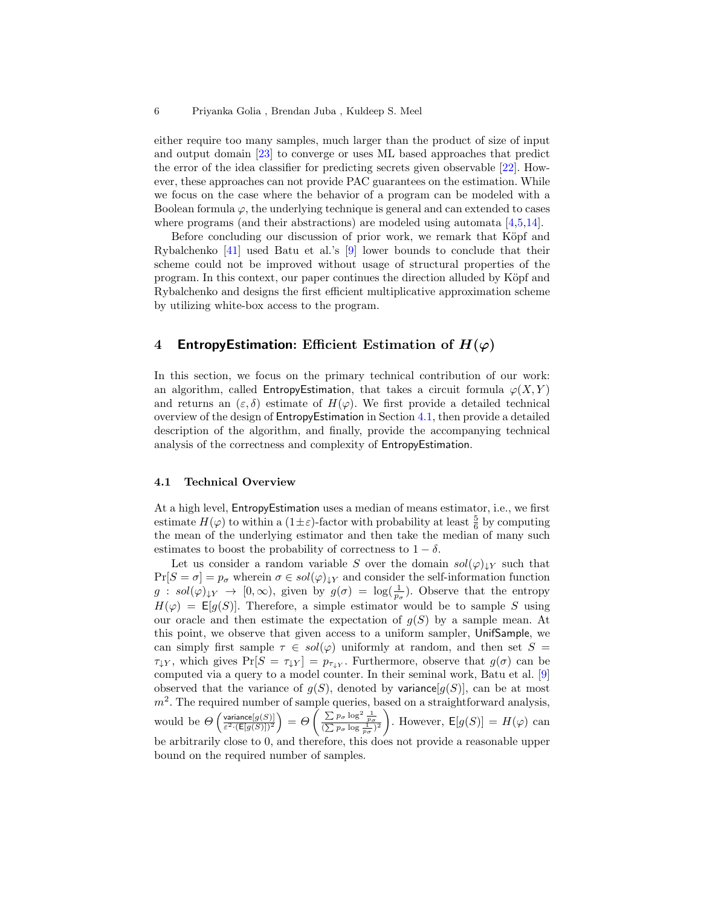either require too many samples, much larger than the product of size of input and output domain [\[23\]](#page-19-17) to converge or uses ML based approaches that predict the error of the idea classifier for predicting secrets given observable [\[22\]](#page-19-18). However, these approaches can not provide PAC guarantees on the estimation. While we focus on the case where the behavior of a program can be modeled with a Boolean formula  $\varphi$ , the underlying technique is general and can extended to cases where programs (and their abstractions) are modeled using automata [\[4,](#page-18-3)[5,](#page-18-4)[14\]](#page-18-5).

Before concluding our discussion of prior work, we remark that Köpf and Rybalchenko [\[41\]](#page-19-19) used Batu et al.'s [\[9\]](#page-18-7) lower bounds to conclude that their scheme could not be improved without usage of structural properties of the program. In this context, our paper continues the direction alluded by K¨opf and Rybalchenko and designs the first efficient multiplicative approximation scheme by utilizing white-box access to the program.

# 4 EntropyEstimation: Efficient Estimation of  $H(\varphi)$

In this section, we focus on the primary technical contribution of our work: an algorithm, called EntropyEstimation, that takes a circuit formula  $\varphi(X, Y)$ and returns an  $(\varepsilon, \delta)$  estimate of  $H(\varphi)$ . We first provide a detailed technical overview of the design of EntropyEstimation in Section [4.1,](#page-5-0) then provide a detailed description of the algorithm, and finally, provide the accompanying technical analysis of the correctness and complexity of EntropyEstimation.

#### <span id="page-5-0"></span>4.1 Technical Overview

At a high level, EntropyEstimation uses a median of means estimator, i.e., we first estimate  $H(\varphi)$  to within a  $(1 \pm \varepsilon)$ -factor with probability at least  $\frac{5}{6}$  by computing the mean of the underlying estimator and then take the median of many such estimates to boost the probability of correctness to  $1 - \delta$ .

Let us consider a random variable S over the domain  $sol(\varphi)_{\downarrow Y}$  such that  $Pr[S = \sigma] = p_{\sigma}$  wherein  $\sigma \in sol(\varphi)_{\downarrow Y}$  and consider the self-information function  $g : sol(\varphi)_{\downarrow Y} \to [0, \infty)$ , given by  $g(\sigma) = \log(\frac{1}{p_{\sigma}})$ . Observe that the entropy  $H(\varphi) = \mathsf{E}[g(S)]$ . Therefore, a simple estimator would be to sample S using our oracle and then estimate the expectation of  $q(S)$  by a sample mean. At this point, we observe that given access to a uniform sampler, UnifSample, we can simply first sample  $\tau \in sol(\varphi)$  uniformly at random, and then set  $S =$  $\tau_{\downarrow Y}$ , which gives  $Pr[S = \tau_{\downarrow Y}] = p_{\tau_{\downarrow Y}}$ . Furthermore, observe that  $g(\sigma)$  can be computed via a query to a model counter. In their seminal work, Batu et al. [\[9\]](#page-18-7) observed that the variance of  $g(S)$ , denoted by variance  $g(S)$ , can be at most  $m<sup>2</sup>$ . The required number of sample queries, based on a straightforward analysis, would be  $\Theta\left(\frac{\text{variance}[g(S)]}{\epsilon^2 \sqrt{\mathsf{E}[g(S)]^2}}\right)$ variance $[g(S)]$ <br>  $\epsilon^2 \cdot (\mathsf{E}[g(S)])^2$  =  $\Theta\left(\frac{\sum p_{\sigma} \log^2 \frac{1}{p_{\sigma}}}{(\sum p_{\sigma} \log \frac{1}{p_{\sigma}})^2}\right)$ . However,  $\mathsf{E}[g(S)] = H(\varphi)$  can be arbitrarily close to 0, and therefore, this does not provide a reasonable upper bound on the required number of samples.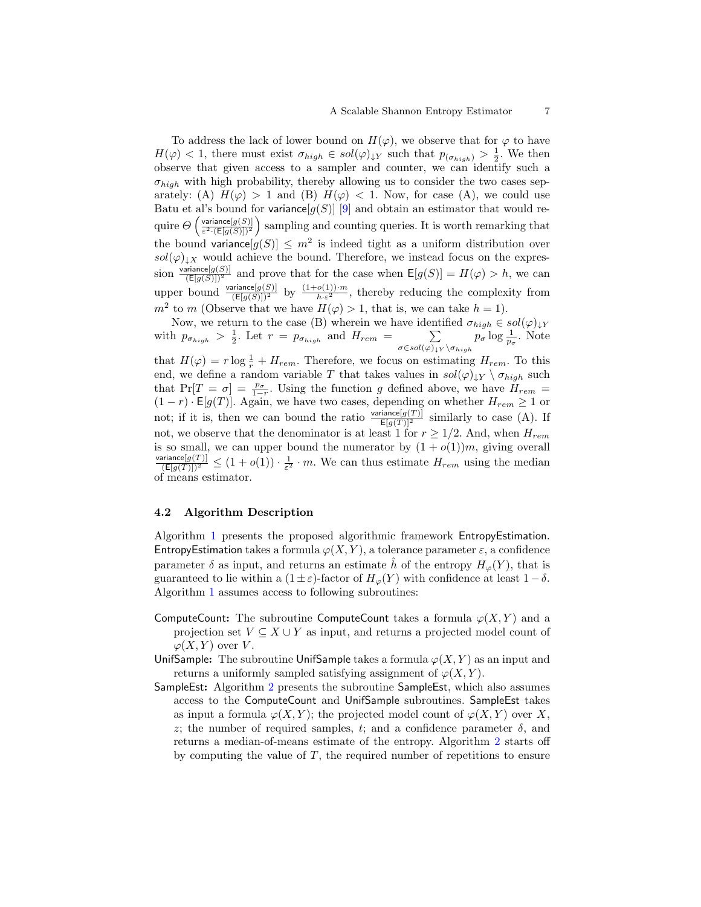To address the lack of lower bound on  $H(\varphi)$ , we observe that for  $\varphi$  to have  $H(\varphi) < 1$ , there must exist  $\sigma_{high} \in sol(\varphi)_{\downarrow Y}$  such that  $p_{(\sigma_{high})} > \frac{1}{2}$ . We then observe that given access to a sampler and counter, we can identify such a  $\sigma_{high}$  with high probability, thereby allowing us to consider the two cases separately: (A)  $H(\varphi) > 1$  and (B)  $H(\varphi) < 1$ . Now, for case (A), we could use Batu et al's bound for variance  $[g(S)]$  [\[9\]](#page-18-7) and obtain an estimator that would require  $\Theta\left(\frac{\text{variance}[g(S)]}{\epsilon^2 \cdot (\text{Eq}(S)))^2}\right)$  $\frac{\text{variance}[g(S)]}{\varepsilon^2 \cdot (\mathsf{E}[g(S)])^2}$  sampling and counting queries. It is worth remarking that the bound variance  $[g(S)] \leq m^2$  is indeed tight as a uniform distribution over  $sol(\varphi)_{\downarrow}$  would achieve the bound. Therefore, we instead focus on the expression  $\frac{\text{variance}[g(S)]}{(E[g(S)])^2}$  and prove that for the case when  $E[g(S)] = H(\varphi) > h$ , we can upper bound  $\frac{\text{variance}[g(S)]}{(E[g(S)])^2}$  by  $\frac{(1+o(1))\cdot m}{h\cdot \varepsilon^2}$ , thereby reducing the complexity from  $m^2$  to m (Observe that we have  $H(\varphi) > 1$ , that is, we can take  $h = 1$ ).

Now, we return to the case (B) wherein we have identified  $\sigma_{high} \in sol(\varphi)_{\downarrow Y}$ with  $p_{\sigma_{high}} > \frac{1}{2}$ . Let  $r = p_{\sigma_{high}}$  and  $H_{rem} = \sum_{\sigma_{high}}$  $\sigma$ ∈sol $(\varphi)_{\downarrow Y} \backslash \sigma_{high}$  $p_{\sigma} \log \frac{1}{p_{\sigma}}$ . Note that  $H(\varphi) = r \log \frac{1}{r} + H_{rem}$ . Therefore, we focus on estimating  $H_{rem}$ . To this end, we define a random variable T that takes values in  $sol(\varphi)_{\downarrow} \vee \sigma_{high}$  such that  $Pr[T = \sigma] = \frac{p_{\sigma}}{1-r}$ . Using the function g defined above, we have  $H_{rem}$  =  $(1 - r) \cdot \mathsf{E}[g(T)]$ . Again, we have two cases, depending on whether  $H_{rem} \geq 1$  or not; if it is, then we can bound the ratio  $\frac{\text{variance}[g(T)]}{\mathbb{E}[g(T)]^2}$  similarly to case (A). If not, we observe that the denominator is at least 1 for  $r \geq 1/2$ . And, when  $H_{rem}$ is so small, we can upper bound the numerator by  $(1 + o(1))m$ , giving overall  $\frac{\text{variance}[g(T)]}{(E[g(T)])^2} \leq (1+o(1)) \cdot \frac{1}{\varepsilon^2} \cdot m$ . We can thus estimate  $H_{rem}$  using the median of means estimator.

#### 4.2 Algorithm Description

Algorithm [1](#page-7-0) presents the proposed algorithmic framework EntropyEstimation. EntropyEstimation takes a formula  $\varphi(X, Y)$ , a tolerance parameter  $\varepsilon$ , a confidence parameter  $\delta$  as input, and returns an estimate  $\hat{h}$  of the entropy  $H_{\varphi}(Y)$ , that is guaranteed to lie within a  $(1 \pm \varepsilon)$ -factor of  $H_{\varphi}(Y)$  with confidence at least  $1 - \delta$ . Algorithm [1](#page-7-0) assumes access to following subroutines:

- ComputeCount: The subroutine ComputeCount takes a formula  $\varphi(X, Y)$  and a projection set  $V \subseteq X \cup Y$  as input, and returns a projected model count of  $\varphi(X, Y)$  over V.
- UnifSample: The subroutine UnifSample takes a formula  $\varphi(X, Y)$  as an input and returns a uniformly sampled satisfying assignment of  $\varphi(X, Y)$ .
- SampleEst: Algorithm [2](#page-7-1) presents the subroutine SampleEst, which also assumes access to the ComputeCount and UnifSample subroutines. SampleEst takes as input a formula  $\varphi(X, Y)$ ; the projected model count of  $\varphi(X, Y)$  over X, z; the number of required samples, t; and a confidence parameter  $\delta$ , and returns a median-of-means estimate of the entropy. Algorithm [2](#page-7-1) starts off by computing the value of  $T$ , the required number of repetitions to ensure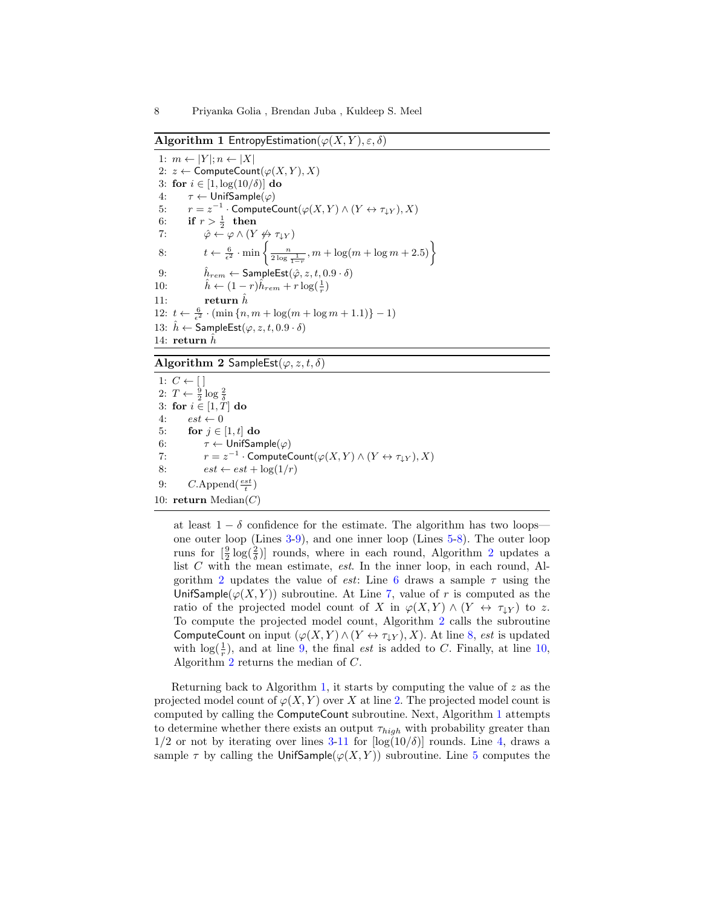<span id="page-7-0"></span>Algorithm 1 EntropyEstimation( $\varphi(X, Y), \varepsilon, \delta$ )

1:  $m \leftarrow |Y|; n \leftarrow |X|$ 2:  $z \leftarrow$  ComputeCount $(\varphi(X, Y), X)$ 3: for  $i \in [1, \log(10/\delta)]$  do 4:  $\tau \leftarrow$  UnifSample( $\varphi$ ) 5:  $r = z^{-1} \cdot \text{ComputeCount}(\varphi(X, Y) \wedge (Y \leftrightarrow \tau_{\downarrow Y}), X)$ 6: if  $r > \frac{1}{2}$  then 7:  $\hat{\varphi} \leftarrow \varphi \wedge (Y \nleftrightarrow \tau_{\downarrow Y})$ 8:  $t \leftarrow \frac{6}{\epsilon^2} \cdot \min \left\{ \frac{n}{2 \log \frac{1}{1-r}}, m + \log(m + \log m + 2.5) \right\}$ 9:  $\hat{h}_{rem} \leftarrow$  SampleEst $(\hat{\varphi}, z, t, 0.9 \cdot \delta)$ 10:  $\hat{h} \leftarrow (1-r)\hat{h}_{rem} + r \log(\frac{1}{r})$ 11: return  $\hat{h}$ 12:  $t \leftarrow \frac{6}{\epsilon^2} \cdot (\min\{n, m + \log(m + \log m + 1.1)\} - 1)$ 13:  $\hat{h} \leftarrow$  SampleEst $(\varphi, z, t, 0.9 \cdot \delta)$ 14: return  $\tilde{h}$ 

<span id="page-7-1"></span>Algorithm 2 SampleEst( $\varphi$ ,  $z$ ,  $t$ ,  $\delta$ )

1:  $C \leftarrow [$ 2:  $T \leftarrow \frac{9}{2} \log \frac{2}{\delta}$ 3: for  $i \in [1, T]$  do 4:  $est \leftarrow 0$ 5: for  $j \in [1, t]$  do 6:  $\tau \leftarrow$  UnifSample( $\varphi$ ) 7:  $r = z^{-1} \cdot \text{ComputeCount}(\varphi(X, Y) \wedge (Y \leftrightarrow \tau_{\downarrow Y}), X)$ 8:  $est \leftarrow est + \log(1/r)$ 9:  $C.\text{Append}(\frac{est}{t})$ 10: return Median $(C)$ 

at least  $1 - \delta$  confidence for the estimate. The algorithm has two loops one outer loop (Lines [3-9\)](#page-7-1), and one inner loop (Lines [5-8\)](#page-7-1). The outer loop runs for  $\left[\frac{9}{2}\log(\frac{2}{\delta})\right]$  $\left[\frac{9}{2}\log(\frac{2}{\delta})\right]$  $\left[\frac{9}{2}\log(\frac{2}{\delta})\right]$  rounds, where in each round, Algorithm 2 updates a list  $C$  with the mean estimate, *est*. In the inner loop, in each round, Al-gorithm [2](#page-7-1) updates the value of est: Line [6](#page-7-1) draws a sample  $\tau$  using the UnifSample( $\varphi(X, Y)$ ) subroutine. At Line [7,](#page-7-1) value of r is computed as the ratio of the projected model count of X in  $\varphi(X, Y) \wedge (Y \leftrightarrow \tau_{\downarrow Y})$  to z. To compute the projected model count, Algorithm [2](#page-7-1) calls the subroutine ComputeCount on input  $(\varphi(X, Y) \wedge (Y \leftrightarrow \tau_{\downarrow Y}), X)$ . At line [8,](#page-7-1) est is updated with  $\log(\frac{1}{r})$ , and at line [9,](#page-7-1) the final *est* is added to C. Finally, at line [10,](#page-7-1) Algorithm [2](#page-7-1) returns the median of C.

Returning back to Algorithm [1,](#page-7-0) it starts by computing the value of  $z$  as the projected model count of  $\varphi(X, Y)$  over X at line [2.](#page-7-0) The projected model count is computed by calling the ComputeCount subroutine. Next, Algorithm [1](#page-7-0) attempts to determine whether there exists an output  $\tau_{high}$  with probability greater than  $1/2$  or not by iterating over lines [3-11](#page-7-0) for  $\log(10/\delta)$  rounds. Line [4,](#page-7-0) draws a sample  $\tau$  by calling the UnifSample( $\varphi(X, Y)$ ) subroutine. Line [5](#page-7-0) computes the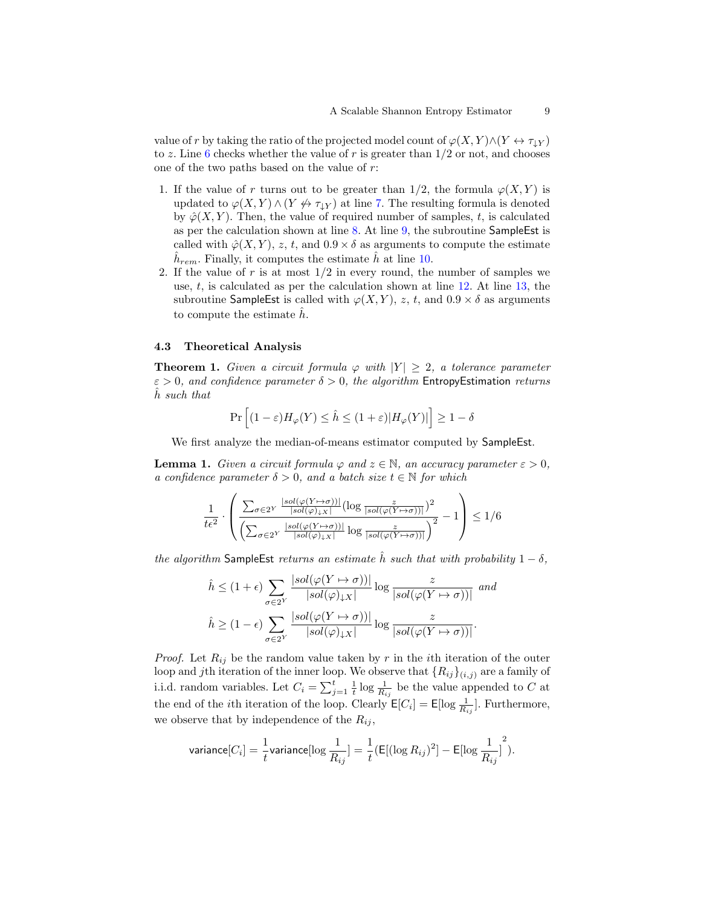value of r by taking the ratio of the projected model count of  $\varphi(X, Y) \wedge (Y \leftrightarrow \tau_{\downarrow Y})$ to z. Line [6](#page-7-0) checks whether the value of r is greater than  $1/2$  or not, and chooses one of the two paths based on the value of r:

- 1. If the value of r turns out to be greater than  $1/2$ , the formula  $\varphi(X, Y)$  is updated to  $\varphi(X, Y) \wedge (Y \nleftrightarrow \tau_{\downarrow Y})$  at line [7.](#page-7-0) The resulting formula is denoted by  $\hat{\varphi}(X, Y)$ . Then, the value of required number of samples, t, is calculated as per the calculation shown at line [8.](#page-7-0) At line [9,](#page-7-0) the subroutine SampleEst is called with  $\hat{\varphi}(X, Y)$ , z, t, and  $0.9 \times \delta$  as arguments to compute the estimate  $\hat{h}_{rem}$ . Finally, it computes the estimate  $\hat{h}$  at line [10.](#page-7-0)
- 2. If the value of r is at most  $1/2$  in every round, the number of samples we use,  $t$ , is calculated as per the calculation shown at line  $12$ . At line  $13$ , the subroutine SampleEst is called with  $\varphi(X, Y)$ , z, t, and  $0.9 \times \delta$  as arguments to compute the estimate  $\hat{h}$ .

#### 4.3 Theoretical Analysis

<span id="page-8-0"></span>**Theorem 1.** Given a circuit formula  $\varphi$  with  $|Y| > 2$ , a tolerance parameter  $\varepsilon > 0$ , and confidence parameter  $\delta > 0$ , the algorithm Entropy Estimation returns h such that

$$
\Pr\Big[(1-\varepsilon)H_{\varphi}(Y)\leq \hat{h}\leq (1+\varepsilon)|H_{\varphi}(Y)|\Big]\geq 1-\delta
$$

We first analyze the median-of-means estimator computed by SampleEst.

<span id="page-8-1"></span>**Lemma 1.** Given a circuit formula  $\varphi$  and  $z \in \mathbb{N}$ , an accuracy parameter  $\varepsilon > 0$ , a confidence parameter  $\delta > 0$ , and a batch size  $t \in \mathbb{N}$  for which

$$
\frac{1}{t\epsilon^2} \cdot \left( \frac{\sum_{\sigma \in 2^Y} \frac{|sol(\varphi(Y \mapsto \sigma))|}{|sol(\varphi)_{\downarrow X}|} (\log \frac{z}{|sol(\varphi(Y \mapsto \sigma))|})^2}{\left( \sum_{\sigma \in 2^Y} \frac{|sol(\varphi(Y \mapsto \sigma))|}{|sol(\varphi)_{\downarrow X}|} \log \frac{z}{|sol(\varphi(Y \mapsto \sigma))|} \right)^2} - 1 \right) \le 1/6
$$

the algorithm SampleEst returns an estimate  $\hat{h}$  such that with probability  $1 - \delta$ ,

$$
\hat{h} \le (1+\epsilon) \sum_{\sigma \in 2^Y} \frac{|sol(\varphi(Y \to \sigma))|}{|sol(\varphi)_{\downarrow X}|} \log \frac{z}{|sol(\varphi(Y \to \sigma))|} \text{ and}
$$

$$
\hat{h} \ge (1-\epsilon) \sum_{\sigma \in 2^Y} \frac{|sol(\varphi(Y \to \sigma))|}{|sol(\varphi)_{\downarrow X}|} \log \frac{z}{|sol(\varphi(Y \to \sigma))|}.
$$

*Proof.* Let  $R_{ij}$  be the random value taken by r in the *i*th iteration of the outer loop and jth iteration of the inner loop. We observe that  $\{R_{ij}\}_{(i,j)}$  are a family of i.i.d. random variables. Let  $C_i = \sum_{j=1}^t \frac{1}{t} \log \frac{1}{R_{ij}}$  be the value appended to C at the end of the *i*th iteration of the loop. Clearly  $\mathsf{E}[C_i] = \mathsf{E}[\log \frac{1}{R_{ij}}]$ . Furthermore, we observe that by independence of the  $R_{ij}$ ,

$$
\text{variance}[C_i] = \frac{1}{t}\text{variance}[\log\frac{1}{R_{ij}}] = \frac{1}{t}(\text{E}[(\log R_{ij})^2] - \text{E}[\log\frac{1}{R_{ij}}]^2).
$$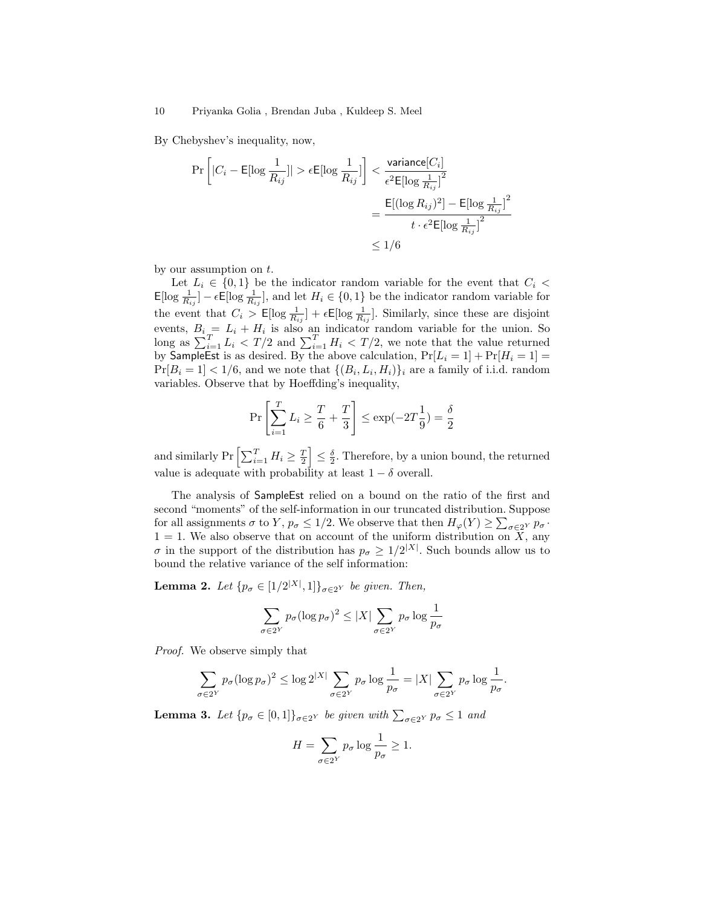By Chebyshev's inequality, now,

$$
\Pr\left[|C_i - \mathsf{E}[\log \frac{1}{R_{ij}}]| > \epsilon \mathsf{E}[\log \frac{1}{R_{ij}}]\right] < \frac{\text{variance}[C_i]}{\epsilon^2 \mathsf{E}[\log \frac{1}{R_{ij}}]^2} \n= \frac{\mathsf{E}[(\log R_{ij})^2] - \mathsf{E}[\log \frac{1}{R_{ij}}]^2}{t \cdot \epsilon^2 \mathsf{E}[\log \frac{1}{R_{ij}}]^2} \n\le 1/6
$$

by our assumption on t.

Let  $L_i \in \{0,1\}$  be the indicator random variable for the event that  $C_i$  $\mathsf{E}[\log \frac{1}{R_{ij}}] - \epsilon \mathsf{E}[\log \frac{1}{R_{ij}}],$  and let  $H_i \in \{0,1\}$  be the indicator random variable for the event that  $C_i > \mathsf{E}[\log \frac{1}{R_{ij}}] + \epsilon \mathsf{E}[\log \frac{1}{R_{ij}}]$ . Similarly, since these are disjoint events,  $B_i = L_i + H_i$  is also an indicator random variable for the union. So long as  $\sum_{i=1}^{T} L_i < T/2$  and  $\sum_{i=1}^{T} H_i < T/2$ , we note that the value returned by SampleEst is as desired. By the above calculation,  $Pr[L_i = 1] + Pr[H_i = 1] =$  $Pr[B_i = 1] < 1/6$ , and we note that  $\{(B_i, L_i, H_i)\}_i$  are a family of i.i.d. random variables. Observe that by Hoeffding's inequality,

$$
\Pr\left[\sum_{i=1}^{T} L_i \ge \frac{T}{6} + \frac{T}{3}\right] \le \exp(-2T\frac{1}{9}) = \frac{\delta}{2}
$$

and similarly Pr  $\left[\sum_{i=1}^T H_i \geq \frac{T}{2}\right] \leq \frac{\delta}{2}$ . Therefore, by a union bound, the returned value is adequate with probability at least  $1 - \delta$  overall.

The analysis of SampleEst relied on a bound on the ratio of the first and second "moments" of the self-information in our truncated distribution. Suppose for all assignments  $\sigma$  to Y,  $p_{\sigma} \leq 1/2$ . We observe that then  $H_{\varphi}(Y) \geq \sum_{\sigma \in 2^Y} p_{\sigma}$ .  $1 = 1$ . We also observe that on account of the uniform distribution on X, any  $\sigma$  in the support of the distribution has  $p_{\sigma} \geq 1/2^{|X|}$ . Such bounds allow us to bound the relative variance of the self information:

<span id="page-9-1"></span>**Lemma 2.** Let  $\{p_{\sigma} \in [1/2^{|X|}, 1]\}_{\sigma \in 2^Y}$  be given. Then,

$$
\sum_{\sigma \in 2^Y} p_{\sigma} (\log p_{\sigma})^2 \le |X| \sum_{\sigma \in 2^Y} p_{\sigma} \log \frac{1}{p_{\sigma}}
$$

Proof. We observe simply that

$$
\sum_{\sigma \in 2^Y} p_{\sigma} (\log p_{\sigma})^2 \le \log 2^{|X|} \sum_{\sigma \in 2^Y} p_{\sigma} \log \frac{1}{p_{\sigma}} = |X| \sum_{\sigma \in 2^Y} p_{\sigma} \log \frac{1}{p_{\sigma}}.
$$

<span id="page-9-0"></span>**Lemma 3.** Let  $\{p_{\sigma} \in [0,1]\}_{\sigma \in 2^Y}$  be given with  $\sum_{\sigma \in 2^Y} p_{\sigma} \leq 1$  and

$$
H = \sum_{\sigma \in 2^Y} p_{\sigma} \log \frac{1}{p_{\sigma}} \ge 1.
$$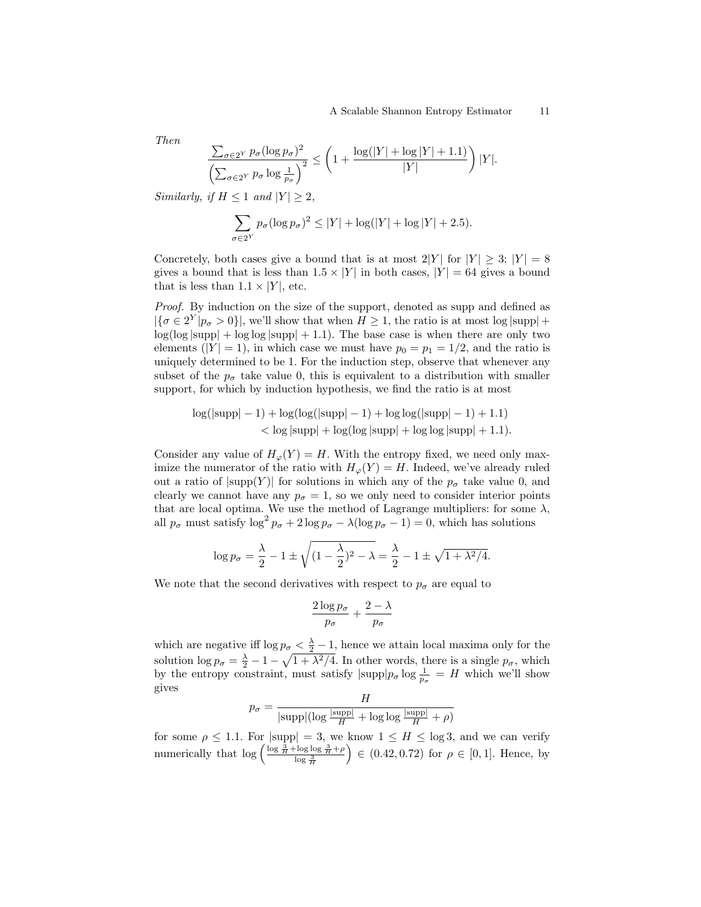Then

$$
\frac{\sum_{\sigma \in 2^Y} p_{\sigma} (\log p_{\sigma})^2}{\left(\sum_{\sigma \in 2^Y} p_{\sigma} \log \frac{1}{p_{\sigma}}\right)^2} \le \left(1 + \frac{\log(|Y| + \log|Y| + 1.1)}{|Y|}\right)|Y|.
$$

Similarly, if  $H \leq 1$  and  $|Y| > 2$ ,

$$
\sum_{\sigma \in 2^Y} p_{\sigma} (\log p_{\sigma})^2 \le |Y| + \log(|Y| + \log|Y| + 2.5).
$$

Concretely, both cases give a bound that is at most  $2|Y|$  for  $|Y| \geq 3$ ;  $|Y| = 8$ gives a bound that is less than  $1.5 \times |Y|$  in both cases,  $|Y| = 64$  gives a bound that is less than  $1.1 \times |Y|$ , etc.

Proof. By induction on the size of the support, denoted as supp and defined as  $|\{\sigma \in 2^Y | p_{\sigma} > 0\}|$ , we'll show that when  $H \geq 1$ , the ratio is at most log  $|\text{supp}| +$  $log(log |supp| + log log |supp| + 1.1)$ . The base case is when there are only two elements ( $|Y| = 1$ ), in which case we must have  $p_0 = p_1 = 1/2$ , and the ratio is uniquely determined to be 1. For the induction step, observe that whenever any subset of the  $p_{\sigma}$  take value 0, this is equivalent to a distribution with smaller support, for which by induction hypothesis, we find the ratio is at most

$$
log(|\text{supp}|-1) + \log(\log(|\text{supp}|-1) + \log \log(|\text{supp}|-1) + 1.1)
$$
  
< 
$$
< \log |\text{supp}| + \log(\log |\text{supp}| + \log \log |\text{supp}| + 1.1).
$$

Consider any value of  $H_{\varphi}(Y) = H$ . With the entropy fixed, we need only maximize the numerator of the ratio with  $H_{\varphi}(Y) = H$ . Indeed, we've already ruled out a ratio of  $|\text{supp}(Y)|$  for solutions in which any of the  $p_{\sigma}$  take value 0, and clearly we cannot have any  $p_{\sigma} = 1$ , so we only need to consider interior points that are local optima. We use the method of Lagrange multipliers: for some  $\lambda$ , all  $p_{\sigma}$  must satisfy  $\log^2 p_{\sigma} + 2 \log p_{\sigma} - \lambda (\log p_{\sigma} - 1) = 0$ , which has solutions

$$
\log p_{\sigma} = \frac{\lambda}{2} - 1 \pm \sqrt{(1 - \frac{\lambda}{2})^2 - \lambda} = \frac{\lambda}{2} - 1 \pm \sqrt{1 + \lambda^2/4}.
$$

We note that the second derivatives with respect to  $p_{\sigma}$  are equal to

$$
\frac{2\log p_\sigma}{p_\sigma} + \frac{2-\lambda}{p_\sigma}
$$

which are negative iff  $\log p_{\sigma} < \frac{\lambda}{2} - 1$ , hence we attain local maxima only for the solution  $\log p_{\sigma} = \frac{\lambda}{2} - 1 - \sqrt{1 + \lambda^2/4}$ . In other words, there is a single  $p_{\sigma}$ , which by the entropy constraint, must satisfy  $|\text{supp}|p_{\sigma}\log \frac{1}{p_{\sigma}} = H$  which we'll show gives

$$
p_{\sigma} = \frac{H}{|\text{supp}|(\log \frac{|\text{supp}|}{H} + \log \log \frac{|\text{supp}|}{H} + \rho)}
$$

for some  $\rho \leq 1.1$ . For  $|\text{supp}| = 3$ , we know  $1 \leq H \leq \log 3$ , and we can verify numerically that  $\log \left( \frac{\log \frac{3}{H} + \log \log \frac{3}{H} + \rho}{\log \frac{3}{H}} \right)$  $\Big) \in (0.42, 0.72)$  for  $\rho \in [0, 1]$ . Hence, by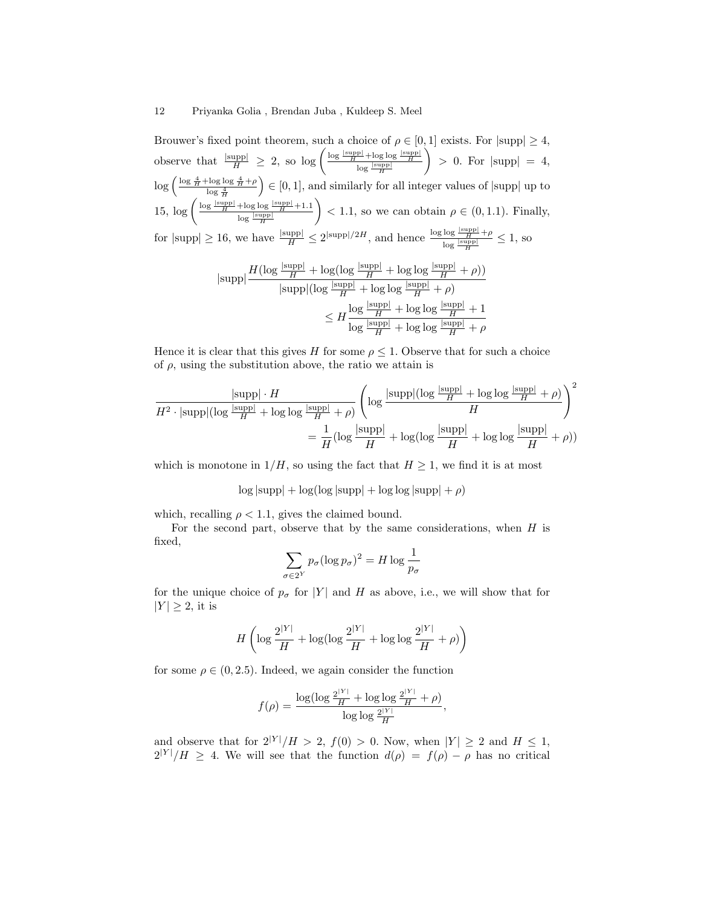Brouwer's fixed point theorem, such a choice of  $\rho \in [0,1]$  exists. For  $|\text{supp}| \geq 4$ , observe that  $\frac{|\text{supp}|}{H} \geq 2$ , so  $\log \left( \frac{\log \frac{|\text{supp}|}{H} + \log \log \frac{|\text{supp}|}{H}}{\log \frac{|\text{supp}|}{H}} \right)$  $\Big\} > 0.$  For  $|\text{supp}| = 4$ ,  $\log \left( \frac{\log \frac{4}{H} + \log \log \frac{4}{H} + \rho}{\log \frac{4}{H}} \right)$  $\Big) \in [0, 1]$ , and similarly for all integer values of  $|\text{supp}|$  up to  $15, \log \left( \frac{\log \frac{|\text{supp}|}{H} + \log \log \frac{|\text{supp}|}{H} + 1.1}{\log \log \log \left( \frac{|\text{supp}|}{H} \right)} \right)$  $\log \frac{|\mathrm{supp}|}{H}$  $\Big\}$  < 1.1, so we can obtain  $\rho \in (0, 1.1)$ . Finally, for  $|\text{supp}| \ge 16$ , we have  $\frac{|\text{supp}|}{H} \le 2^{|\text{supp}|/2H}$ , and hence  $\frac{\log \log \frac{|\text{supp}|}{H} + \rho}{\log \frac{|\text{supp}|}{H}}$  $\frac{\log \frac{f(x)}{H} + \rho}{\log \frac{|\text{supp}|}{H}} \leq 1$ , so

$$
|\text{supp}|\frac{H(\log\frac{|\text{supp}|}{H} + \log(\log\frac{|\text{supp}|}{H} + \log\log\frac{|\text{supp}|}{H} + \rho))}{|\text{supp}|(\log\frac{|\text{supp}|}{H} + \log\log\frac{|\text{supp}|}{H} + \rho)} \leq H\frac{\log\frac{|\text{supp}|}{H} + \log\log\frac{|\text{supp}|}{H} + 1}{\log\frac{|\text{supp}|}{H} + \log\log\frac{|\text{supp}|}{H} + \rho}
$$

Hence it is clear that this gives H for some  $\rho \leq 1$ . Observe that for such a choice of  $\rho$ , using the substitution above, the ratio we attain is

$$
\frac{|\text{supp}|\cdot H}{H^2 \cdot |\text{supp}|(\log \frac{|\text{supp}|\cdot H}{H} + \log \log \frac{|\text{supp}|\cdot \rho)}{H})} \left(\log \frac{|\text{supp}|(\log \frac{|\text{supp}|\cdot H}{H})}{H}\right)^2
$$

$$
= \frac{1}{H} (\log \frac{|\text{supp}|\cdot H}{H} + \log (\log \frac{|\text{supp}|\cdot H}{H} + \log \log \frac{|\text{supp}|\cdot H}{H} + \rho))
$$

which is monotone in  $1/H$ , so using the fact that  $H \geq 1$ , we find it is at most

 $\log |\text{supp}| + \log (\log |\text{supp}| + \log |\text{supp}| + \rho)$ 

which, recalling  $\rho < 1.1$ , gives the claimed bound.

For the second part, observe that by the same considerations, when  $H$  is fixed,

$$
\sum_{\sigma \in 2^Y} p_{\sigma} (\log p_{\sigma})^2 = H \log \frac{1}{p_{\sigma}}
$$

for the unique choice of  $p_{\sigma}$  for |Y| and H as above, i.e., we will show that for  $|Y| \geq 2$ , it is

$$
H\left(\log\frac{2^{|Y|}}{H}+\log(\log\frac{2^{|Y|}}{H}+\log\log\frac{2^{|Y|}}{H}+\rho)\right)
$$

for some  $\rho \in (0, 2.5)$ . Indeed, we again consider the function

$$
f(\rho) = \frac{\log(\log \frac{2^{|Y|}}{H} + \log \log \frac{2^{|Y|}}{H} + \rho)}{\log \log \frac{2^{|Y|}}{H}},
$$

and observe that for  $2^{|Y|}/H > 2$ ,  $f(0) > 0$ . Now, when  $|Y| \geq 2$  and  $H \leq 1$ ,  $2^{|Y|}/H \geq 4$ . We will see that the function  $d(\rho) = f(\rho) - \rho$  has no critical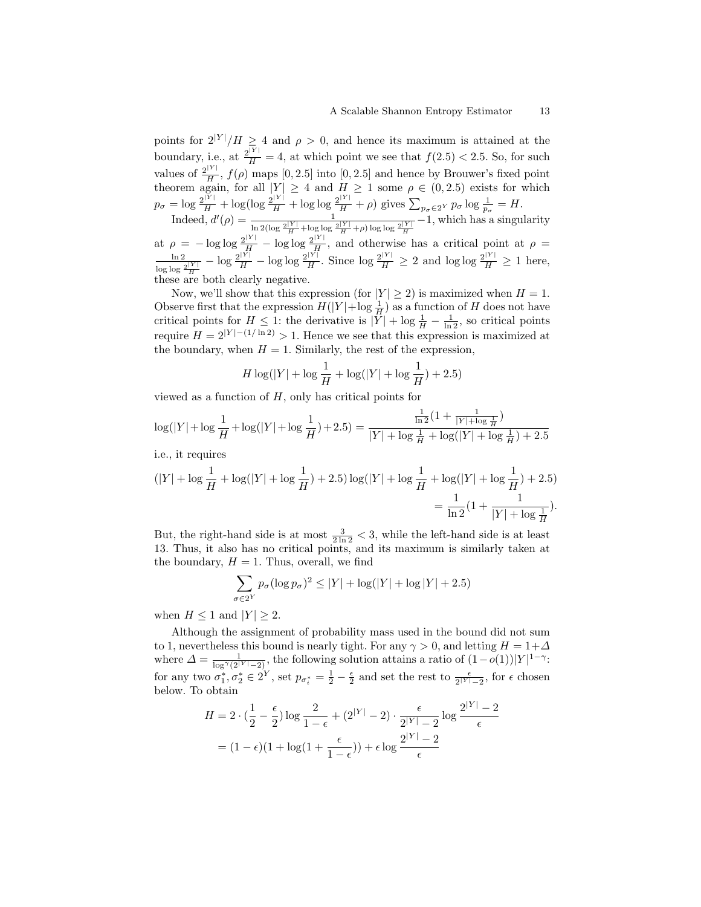points for  $2^{|Y|}/H \geq 4$  and  $\rho > 0$ , and hence its maximum is attained at the boundary, i.e., at  $\frac{2^{|Y|}}{H} = 4$ , at which point we see that  $f(2.5) < 2.5$ . So, for such values of  $\frac{2^{|Y|}}{H}$  $\frac{H}{H}$ ,  $f(\rho)$  maps [0, 2.5] into [0, 2.5] and hence by Brouwer's fixed point theorem again, for all  $|Y| \geq 4$  and  $H \geq 1$  some  $\rho \in (0, 2.5)$  exists for which  $p_{\sigma} = \log \frac{2^{|Y|}}{H} + \log(\log \frac{2^{|Y|}}{H} + \log \log \frac{2^{|Y|}}{H} + \rho)$  gives  $\sum_{p_{\sigma} \in 2^Y} p_{\sigma} \log \frac{1}{p_{\sigma}} = H$ .

Indeed,  $d'(\rho) = \frac{1}{\ln 2(\log \frac{2|Y|}{H} + \log \log \frac{2|Y|}{H} + \rho) \log \log \frac{2|Y|}{H}} - 1$ , which has a singularity at  $\rho = -\log \log \frac{2^{|Y|}}{H} - \log \log \frac{2^{|Y|}}{H}$  $\frac{H}{H}$ , and otherwise has a critical point at  $\rho =$ 

ln 2  $\frac{\ln 2}{\log \log \frac{2^{|Y|}}{H}} - \log \frac{2^{|Y|}}{H} - \log \log \frac{2^{|Y|}}{H}$  $\frac{|Y|}{H}$ . Since  $\log \frac{2^{|Y|}}{H} \ge 2$  and  $\log \log \frac{2^{|Y|}}{H} \ge 1$  here, these are both clearly negative.

Now, we'll show that this expression (for  $|Y| \ge 2$ ) is maximized when  $H = 1$ . Observe first that the expression  $H(|Y| + \log \frac{1}{H})$  as a function of H does not have critical points for  $H \leq 1$ : the derivative is  $|\overline{Y}| + \log \frac{1}{H} - \frac{1}{\ln 2}$ , so critical points require  $H = 2^{|Y|-(1/\ln 2)} > 1$ . Hence we see that this expression is maximized at the boundary, when  $H = 1$ . Similarly, the rest of the expression,

$$
H \log(|Y| + \log \frac{1}{H} + \log(|Y| + \log \frac{1}{H}) + 2.5)
$$

viewed as a function of  $H$ , only has critical points for

$$
\log(|Y| + \log \frac{1}{H} + \log(|Y| + \log \frac{1}{H}) + 2.5) = \frac{\frac{1}{\ln 2} (1 + \frac{1}{|Y| + \log \frac{1}{H}})}{|Y| + \log \frac{1}{H} + \log(|Y| + \log \frac{1}{H}) + 2.5}
$$

i.e., it requires

$$
(|Y| + \log \frac{1}{H} + \log(|Y| + \log \frac{1}{H}) + 2.5) \log(|Y| + \log \frac{1}{H} + \log(|Y| + \log \frac{1}{H}) + 2.5)
$$
  
= 
$$
\frac{1}{\ln 2} (1 + \frac{1}{|Y| + \log \frac{1}{H}}).
$$

But, the right-hand side is at most  $\frac{3}{2\ln 2} < 3$ , while the left-hand side is at least 13. Thus, it also has no critical points, and its maximum is similarly taken at the boundary,  $H = 1$ . Thus, overall, we find

$$
\sum_{\sigma \in 2^Y} p_{\sigma} (\log p_{\sigma})^2 \le |Y| + \log(|Y| + \log|Y| + 2.5)
$$

when  $H \leq 1$  and  $|Y| \geq 2$ .

Although the assignment of probability mass used in the bound did not sum to 1, nevertheless this bound is nearly tight. For any  $\gamma > 0$ , and letting  $H = 1 + \Delta$ where  $\Delta = \frac{1}{\log^{\gamma}(2^{|Y|}-2)}$ , the following solution attains a ratio of  $(1-o(1))|Y|^{1-\gamma}$ : for any two  $\sigma_1^*, \sigma_2^* \in 2^Y$ , set  $p_{\sigma_i^*} = \frac{1}{2} - \frac{\epsilon}{2}$  and set the rest to  $\frac{\epsilon}{2^{|Y|} - 2}$ , for  $\epsilon$  chosen below. To obtain

$$
H = 2 \cdot \left(\frac{1}{2} - \frac{\epsilon}{2}\right) \log \frac{2}{1 - \epsilon} + (2^{|Y|} - 2) \cdot \frac{\epsilon}{2^{|Y|} - 2} \log \frac{2^{|Y|} - 2}{\epsilon}
$$

$$
= (1 - \epsilon)(1 + \log(1 + \frac{\epsilon}{1 - \epsilon})) + \epsilon \log \frac{2^{|Y|} - 2}{\epsilon}
$$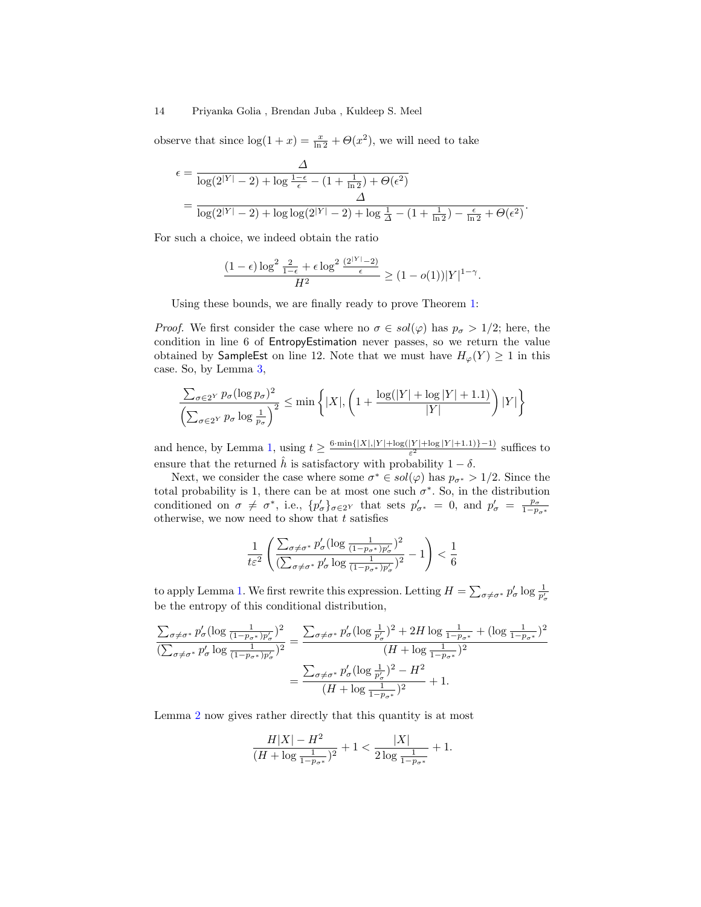observe that since  $\log(1+x) = \frac{x}{\ln 2} + \Theta(x^2)$ , we will need to take

$$
\epsilon = \frac{\Delta}{\log(2^{|Y|} - 2) + \log \frac{1 - \epsilon}{\epsilon} - (1 + \frac{1}{\ln 2}) + \Theta(\epsilon^2)} \\
= \frac{\Delta}{\log(2^{|Y|} - 2) + \log \log(2^{|Y|} - 2) + \log \frac{1}{\Delta} - (1 + \frac{1}{\ln 2}) - \frac{\epsilon}{\ln 2} + \Theta(\epsilon^2)}.
$$

For such a choice, we indeed obtain the ratio

$$
\frac{(1-\epsilon)\log^2\frac{2}{1-\epsilon}+\epsilon\log^2\frac{(2^{|Y|}-2)}{\epsilon}}{H^2}\geq (1-o(1))|Y|^{1-\gamma}.
$$

Using these bounds, we are finally ready to prove Theorem [1:](#page-8-0)

*Proof.* We first consider the case where no  $\sigma \in sol(\varphi)$  has  $p_{\sigma} > 1/2$ ; here, the condition in line 6 of EntropyEstimation never passes, so we return the value obtained by SampleEst on line 12. Note that we must have  $H_{\varphi}(Y) \ge 1$  in this case. So, by Lemma [3,](#page-9-0)

$$
\frac{\sum_{\sigma \in 2^Y} p_{\sigma} (\log p_{\sigma})^2}{\left(\sum_{\sigma \in 2^Y} p_{\sigma} \log \frac{1}{p_{\sigma}}\right)^2} \le \min\left\{|X|, \left(1 + \frac{\log(|Y| + \log|Y| + 1.1)}{|Y|}\right)|Y|\right\}
$$

and hence, by Lemma [1,](#page-8-1) using  $t \geq \frac{6 \cdot \min\{|X|, |Y| + \log(|Y| + \log|Y| + 1.1)\} - 1}{\epsilon^2}$  $\frac{[Y] + \log |Y| + 1.1}{\epsilon^2}$  suffices to ensure that the returned  $\hat{h}$  is satisfactory with probability  $1 - \delta$ .

Next, we consider the case where some  $\sigma^* \in sol(\varphi)$  has  $p_{\sigma^*} > 1/2$ . Since the total probability is 1, there can be at most one such  $\sigma^*$ . So, in the distribution conditioned on  $\sigma \neq \sigma^*$ , i.e.,  $\{p'_{\sigma}\}_{\sigma \in 2^Y}$  that sets  $p'_{\sigma^*} = 0$ , and  $p'_{\sigma} = \frac{p_{\sigma}}{1 - p_{\sigma^*}}$  otherwise, we now need to show that t satisfies

$$
\frac{1}{t\varepsilon^2} \left( \frac{\sum_{\sigma \neq \sigma^*} p_{\sigma}' (\log\frac{1}{(1-p_{\sigma^*})p_{\sigma}'} )^2}{(\sum_{\sigma \neq \sigma^*} p_{\sigma}' \log\frac{1}{(1-p_{\sigma^*})p_{\sigma}'} )^2} - 1 \right) < \frac{1}{6}
$$

to apply Lemma [1.](#page-8-1) We first rewrite this expression. Letting  $H = \sum_{\sigma \neq \sigma^*} p_{\sigma}^t \log \frac{1}{p_{\sigma}^t}$ be the entropy of this conditional distribution,

$$
\frac{\sum_{\sigma \neq \sigma^*} p_{\sigma}' (\log \frac{1}{(1 - p_{\sigma^*})p_{\sigma}'})^2}{(\sum_{\sigma \neq \sigma^*} p_{\sigma}' \log \frac{1}{(1 - p_{\sigma^*})p_{\sigma}'})^2} = \frac{\sum_{\sigma \neq \sigma^*} p_{\sigma}' (\log \frac{1}{p_{\sigma}'})^2 + 2H \log \frac{1}{1 - p_{\sigma^*}} + (\log \frac{1}{1 - p_{\sigma^*}})^2}{(H + \log \frac{1}{1 - p_{\sigma^*}})^2}
$$

$$
= \frac{\sum_{\sigma \neq \sigma^*} p_{\sigma}' (\log \frac{1}{p_{\sigma}'})^2 - H^2}{(H + \log \frac{1}{1 - p_{\sigma^*}})^2} + 1.
$$

Lemma [2](#page-9-1) now gives rather directly that this quantity is at most

$$
\frac{H|X|-H^2}{(H+\log\frac{1}{1-p_{\sigma^*}})^2}+1<\frac{|X|}{2\log\frac{1}{1-p_{\sigma^*}}}+1.
$$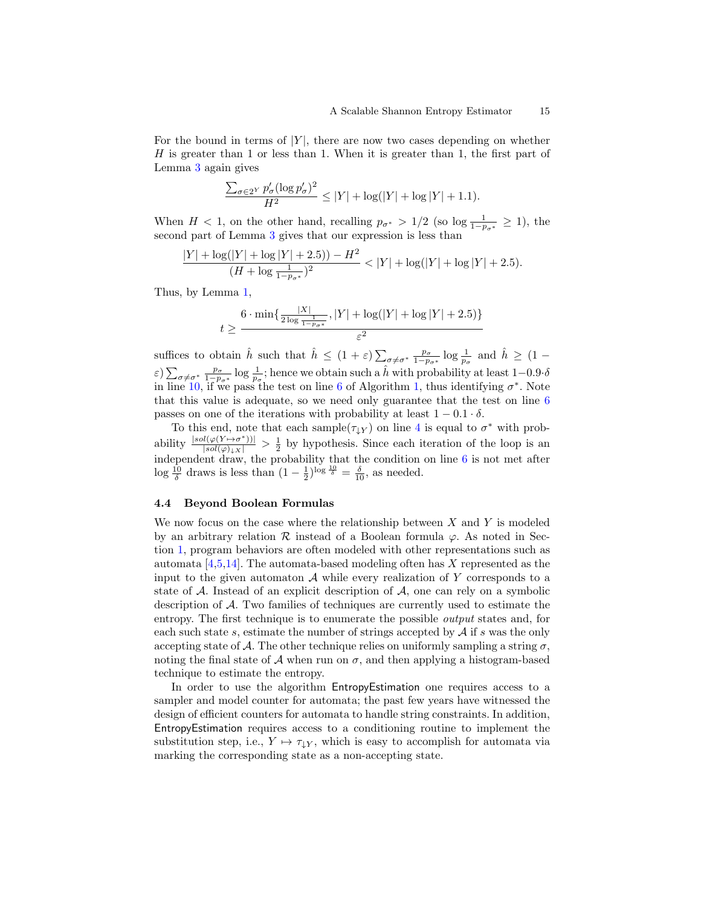For the bound in terms of  $|Y|$ , there are now two cases depending on whether H is greater than 1 or less than 1. When it is greater than 1, the first part of Lemma [3](#page-9-0) again gives

$$
\frac{\sum_{\sigma \in 2^{Y}} p_{\sigma}' (\log p_{\sigma}')^{2}}{H^{2}} \leq |Y| + \log(|Y| + \log|Y| + 1.1).
$$

When  $H < 1$ , on the other hand, recalling  $p_{\sigma^*} > 1/2$  (so log  $\frac{1}{1-p_{\sigma^*}} \ge 1$ ), the second part of Lemma [3](#page-9-0) gives that our expression is less than

$$
\frac{|Y| + \log(|Y| + \log|Y| + 2.5)) - H^2}{(H + \log \frac{1}{1 - p_{\sigma^*}})^2} < |Y| + \log(|Y| + \log|Y| + 2.5).
$$

Thus, by Lemma [1,](#page-8-1)

$$
t \ge \frac{6 \cdot \min\{\frac{|X|}{2\log\frac{1}{1-p_{\sigma^*}}}, |Y| + \log(|Y| + \log|Y| + 2.5)\}}{\varepsilon^2}
$$

suffices to obtain  $\hat{h}$  such that  $\hat{h} \leq (1+\varepsilon)\sum_{\sigma\neq\sigma^*} \frac{p_{\sigma}}{1-p_{\sigma^*}} \log \frac{1}{p_{\sigma}}$  and  $\hat{h} \geq (1-\varepsilon)\sum_{\sigma\neq\sigma^*} \frac{p_{\sigma}}{1-p_{\sigma^*}}$  $\varepsilon$ )  $\sum_{\sigma \neq \sigma^*} \frac{p_{\sigma}}{1-p_{\sigma^*}} \log \frac{1}{p_{\sigma}}$ ; hence we obtain such a  $\hat{h}$  with probability at least  $1-0.9 \cdot \delta$ in line [10,](#page-7-0) if we pass the test on line [6](#page-7-0) of Algorithm [1,](#page-7-0) thus identifying  $\sigma^*$ . Note that this value is adequate, so we need only guarantee that the test on line  $6$ passes on one of the iterations with probability at least  $1 - 0.1 \cdot \delta$ .

To this end, note that each sample( $\tau_{\downarrow Y}$ ) on line [4](#page-7-0) is equal to  $\sigma^*$  with probability  $\frac{|sol(\varphi(Y \rightarrow \sigma^*))|}{|sol(\varphi)_{\downarrow}x|} > \frac{1}{2}$  by hypothesis. Since each iteration of the loop is an independent draw, the probability that the condition on line [6](#page-7-0) is not met after  $\log \frac{10}{\delta}$  draws is less than  $(1 - \frac{1}{2})^{\log \frac{10}{\delta}} = \frac{\delta}{10}$ , as needed.

#### 4.4 Beyond Boolean Formulas

We now focus on the case where the relationship between  $X$  and  $Y$  is modeled by an arbitrary relation R instead of a Boolean formula  $\varphi$ . As noted in Section [1,](#page-0-0) program behaviors are often modeled with other representations such as automata  $[4,5,14]$  $[4,5,14]$  $[4,5,14]$ . The automata-based modeling often has X represented as the input to the given automaton  $A$  while every realization of Y corresponds to a state of  $A$ . Instead of an explicit description of  $A$ , one can rely on a symbolic description of A. Two families of techniques are currently used to estimate the entropy. The first technique is to enumerate the possible output states and, for each such state s, estimate the number of strings accepted by  $A$  if s was the only accepting state of A. The other technique relies on uniformly sampling a string  $\sigma$ , noting the final state of  $A$  when run on  $\sigma$ , and then applying a histogram-based technique to estimate the entropy.

In order to use the algorithm EntropyEstimation one requires access to a sampler and model counter for automata; the past few years have witnessed the design of efficient counters for automata to handle string constraints. In addition, EntropyEstimation requires access to a conditioning routine to implement the substitution step, i.e.,  $Y \mapsto \tau_{\downarrow Y}$ , which is easy to accomplish for automata via marking the corresponding state as a non-accepting state.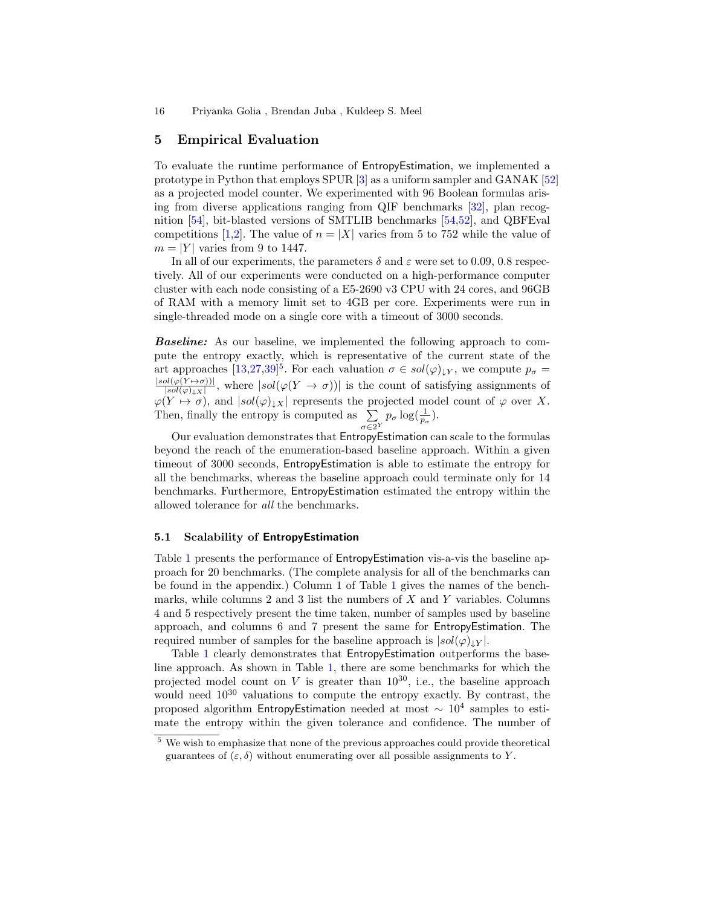### <span id="page-15-0"></span>5 Empirical Evaluation

To evaluate the runtime performance of EntropyEstimation, we implemented a prototype in Python that employs SPUR [\[3\]](#page-18-10) as a uniform sampler and GANAK [\[52\]](#page-20-8) as a projected model counter. We experimented with 96 Boolean formulas arising from diverse applications ranging from QIF benchmarks [\[32\]](#page-19-20), plan recognition [\[54\]](#page-20-11), bit-blasted versions of SMTLIB benchmarks [\[54,](#page-20-11)[52\]](#page-20-8), and QBFEval competitions [\[1,](#page-18-19)[2\]](#page-18-20). The value of  $n = |X|$  varies from 5 to 752 while the value of  $m = |Y|$  varies from 9 to 1447.

In all of our experiments, the parameters  $\delta$  and  $\varepsilon$  were set to 0.09, 0.8 respectively. All of our experiments were conducted on a high-performance computer cluster with each node consisting of a E5-2690 v3 CPU with 24 cores, and 96GB of RAM with a memory limit set to 4GB per core. Experiments were run in single-threaded mode on a single core with a timeout of 3000 seconds.

Baseline: As our baseline, we implemented the following approach to compute the entropy exactly, which is representative of the current state of the art approaches  $[13,27,39]^5$  $[13,27,39]^5$  $[13,27,39]^5$  $[13,27,39]^5$  $[13,27,39]^5$ . For each valuation  $\sigma \in sol(\varphi)_{\downarrow Y}$ , we compute  $p_{\sigma} =$  $|sol(\varphi(Y \mapsto \sigma))|$  $\frac{\partial l(\varphi(Y \to \sigma))|}{|sol(\varphi)|_X|}$ , where  $|sol(\varphi(Y \to \sigma))|$  is the count of satisfying assignments of  $\varphi(Y \mapsto \sigma)$ , and  $|sol(\varphi)_{\downarrow X}|$  represents the projected model count of  $\varphi$  over X. Then, finally the entropy is computed as  $\sum$  $\sigma \in 2^Y$  $p_{\sigma} \log(\frac{1}{p_{\sigma}}).$ 

Our evaluation demonstrates that EntropyEstimation can scale to the formulas beyond the reach of the enumeration-based baseline approach. Within a given timeout of 3000 seconds, EntropyEstimation is able to estimate the entropy for all the benchmarks, whereas the baseline approach could terminate only for 14 benchmarks. Furthermore, EntropyEstimation estimated the entropy within the allowed tolerance for all the benchmarks.

#### 5.1 Scalability of EntropyEstimation

Table [1](#page-16-0) presents the performance of **EntropyEstimation** vis-a-vis the baseline approach for 20 benchmarks. (The complete analysis for all of the benchmarks can be found in the appendix.) Column 1 of Table [1](#page-16-0) gives the names of the benchmarks, while columns  $2$  and  $3$  list the numbers of  $X$  and  $Y$  variables. Columns 4 and 5 respectively present the time taken, number of samples used by baseline approach, and columns 6 and 7 present the same for EntropyEstimation. The required number of samples for the baseline approach is  $|sol(\varphi)|_Y$ .

Table [1](#page-16-0) clearly demonstrates that EntropyEstimation outperforms the baseline approach. As shown in Table [1,](#page-16-0) there are some benchmarks for which the projected model count on V is greater than  $10^{30}$ , i.e., the baseline approach would need  $10^{30}$  valuations to compute the entropy exactly. By contrast, the proposed algorithm EntropyEstimation needed at most  $\sim 10^4$  samples to estimate the entropy within the given tolerance and confidence. The number of

<span id="page-15-1"></span><sup>5</sup> We wish to emphasize that none of the previous approaches could provide theoretical guarantees of  $(\varepsilon, \delta)$  without enumerating over all possible assignments to Y.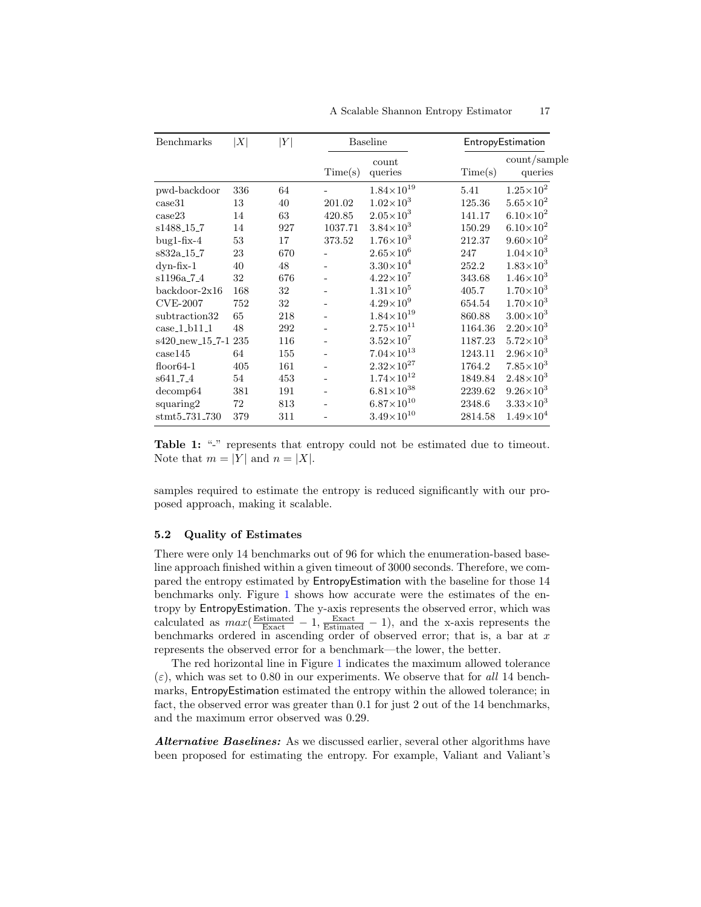<span id="page-16-0"></span>

| Benchmarks             | X   | Y   | <b>Baseline</b> |                       |         | EntropyEstimation       |
|------------------------|-----|-----|-----------------|-----------------------|---------|-------------------------|
|                        |     |     | Time(s)         | count<br>queries      | Time(s) | count/sample<br>queries |
| pwd-backdoor           | 336 | 64  |                 | $1.84{\times}10^{19}$ | 5.41    | $1.25{\times}10^2$      |
| case31                 | 13  | 40  | 201.02          | $1.02 \times 10^{3}$  | 125.36  | $5.65\times10^{2}$      |
| case23                 | 14  | 63  | 420.85          | $2.05{\times}10^3$    | 141.17  | $6.10\times10^{2}$      |
| s1488_15_7             | 14  | 927 | 1037.71         | $3.84\times10^{3}$    | 150.29  | $6.10\times10^{2}$      |
| $bug1-fix-4$           | 53  | 17  | 373.52          | $1.76 \times 10^{3}$  | 212.37  | $9.60\times10^{2}$      |
| s832a <sub>-15-7</sub> | 23  | 670 |                 | $2.65{\times}10^6$    | 247     | $1.04\times10^{3}$      |
| $dyn$ -fix- $1$        | 40  | 48  |                 | $3.30\times10^{4}$    | 252.2   | $1.83\times10^{3}$      |
| s1196a <sub>-7-4</sub> | 32  | 676 |                 | $4.22\times10^7$      | 343.68  | $1.46\times10^{3}$      |
| backdoor-2x16          | 168 | 32  |                 | $1.31\times10^{5}$    | 405.7   | $1.70\times10^{3}$      |
| <b>CVE-2007</b>        | 752 | 32  |                 | $4.29\times10^{9}$    | 654.54  | $1.70\times10^{3}$      |
| subtraction32          | 65  | 218 |                 | $1.84\times10^{19}$   | 860.88  | $3.00\times10^{3}$      |
| $case_1_b11_1$         | 48  | 292 |                 | $2.75\times10^{11}$   | 1164.36 | $2.20\times10^{3}$      |
| s420_new_15_7-1 235    |     | 116 |                 | $3.52\times10^7$      | 1187.23 | $5.72 \times 10^{3}$    |
| case145                | 64  | 155 |                 | $7.04\times10^{13}$   | 1243.11 | $2.96\times10^{3}$      |
| $floor64-1$            | 405 | 161 |                 | $2.32\times10^{27}$   | 1764.2  | $7.85\times10^{3}$      |
| s641_7_4               | 54  | 453 |                 | $1.74{\times}10^{12}$ | 1849.84 | $2.48\times10^{3}$      |
| decomp64               | 381 | 191 |                 | $6.81\times10^{38}$   | 2239.62 | $9.26\times10^{3}$      |
| squaring2              | 72  | 813 |                 | $6.87\times10^{10}$   | 2348.6  | $3.33\times10^{3}$      |
| stmt5_731_730          | 379 | 311 |                 | $3.49\times10^{10}$   | 2814.58 | $1.49\times10^{4}$      |

A Scalable Shannon Entropy Estimator 17

Table 1: "-" represents that entropy could not be estimated due to timeout. Note that  $m = |Y|$  and  $n = |X|$ .

samples required to estimate the entropy is reduced significantly with our proposed approach, making it scalable.

#### 5.2 Quality of Estimates

There were only 14 benchmarks out of 96 for which the enumeration-based baseline approach finished within a given timeout of 3000 seconds. Therefore, we compared the entropy estimated by EntropyEstimation with the baseline for those 14 benchmarks only. Figure [1](#page-17-1) shows how accurate were the estimates of the entropy by EntropyEstimation. The y-axis represents the observed error, which was calculated as  $max(\frac{\text{Estimated}}{\text{Exact}} - 1, \frac{\text{Exact}}{\text{Estimated}} - 1)$ , and the x-axis represents the benchmarks ordered in ascending order of observed error; that is, a bar at  $x$ represents the observed error for a benchmark—the lower, the better.

The red horizontal line in Figure [1](#page-17-1) indicates the maximum allowed tolerance  $(\varepsilon)$ , which was set to 0.80 in our experiments. We observe that for all 14 benchmarks, EntropyEstimation estimated the entropy within the allowed tolerance; in fact, the observed error was greater than 0.1 for just 2 out of the 14 benchmarks, and the maximum error observed was 0.29.

Alternative Baselines: As we discussed earlier, several other algorithms have been proposed for estimating the entropy. For example, Valiant and Valiant's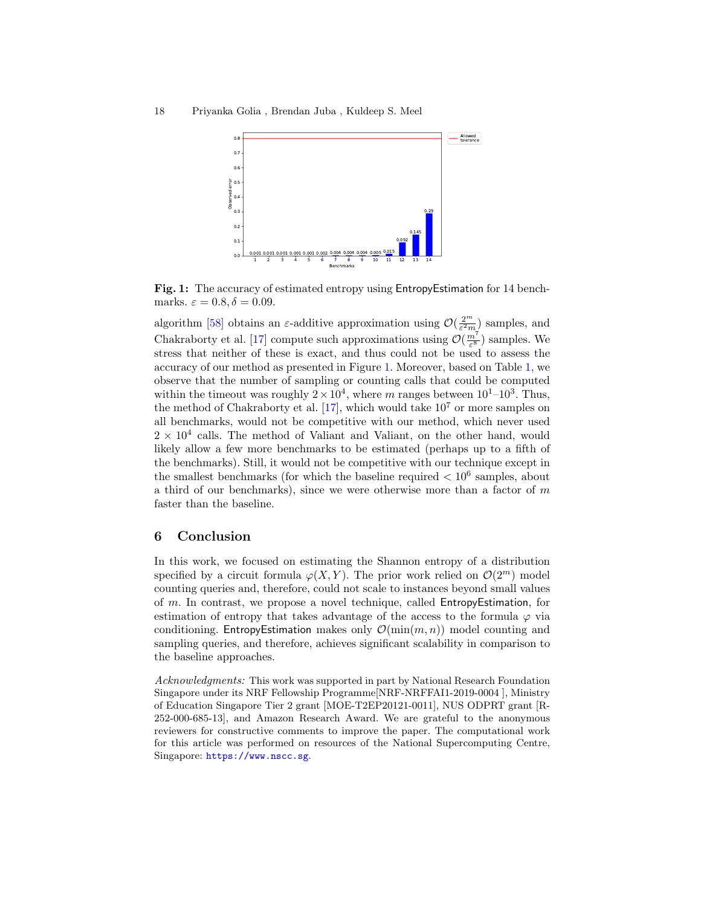<span id="page-17-1"></span>

Fig. 1: The accuracy of estimated entropy using EntropyEstimation for 14 benchmarks.  $\varepsilon = 0.8, \delta = 0.09$ .

algorithm [\[58\]](#page-20-6) obtains an  $\varepsilon$ -additive approximation using  $\mathcal{O}(\frac{2^m}{\varepsilon^2 m})$  samples, and Chakraborty et al. [\[17\]](#page-18-8) compute such approximations using  $\mathcal{O}(\frac{m^7}{\varepsilon^8})$  samples. We stress that neither of these is exact, and thus could not be used to assess the accuracy of our method as presented in Figure [1.](#page-17-1) Moreover, based on Table [1,](#page-16-0) we observe that the number of sampling or counting calls that could be computed within the timeout was roughly  $2 \times 10^4$ , where m ranges between  $10^1$ – $10^3$ . Thus, the method of Chakraborty et al. [\[17\]](#page-18-8), which would take  $10<sup>7</sup>$  or more samples on all benchmarks, would not be competitive with our method, which never used  $2 \times 10^4$  calls. The method of Valiant and Valiant, on the other hand, would likely allow a few more benchmarks to be estimated (perhaps up to a fifth of the benchmarks). Still, it would not be competitive with our technique except in the smallest benchmarks (for which the baseline required  $< 10^6$  samples, about a third of our benchmarks), since we were otherwise more than a factor of  $m$ faster than the baseline.

### <span id="page-17-0"></span>6 Conclusion

In this work, we focused on estimating the Shannon entropy of a distribution specified by a circuit formula  $\varphi(X, Y)$ . The prior work relied on  $\mathcal{O}(2^m)$  model counting queries and, therefore, could not scale to instances beyond small values of m. In contrast, we propose a novel technique, called EntropyEstimation, for estimation of entropy that takes advantage of the access to the formula  $\varphi$  via conditioning. EntropyEstimation makes only  $\mathcal{O}(\min(m, n))$  model counting and sampling queries, and therefore, achieves significant scalability in comparison to the baseline approaches.

Acknowledgments: This work was supported in part by National Research Foundation Singapore under its NRF Fellowship Programme[NRF-NRFFAI1-2019-0004 ], Ministry of Education Singapore Tier 2 grant [MOE-T2EP20121-0011], NUS ODPRT grant [R-252-000-685-13], and Amazon Research Award. We are grateful to the anonymous reviewers for constructive comments to improve the paper. The computational work for this article was performed on resources of the National Supercomputing Centre, Singapore: <https://www.nscc.sg>.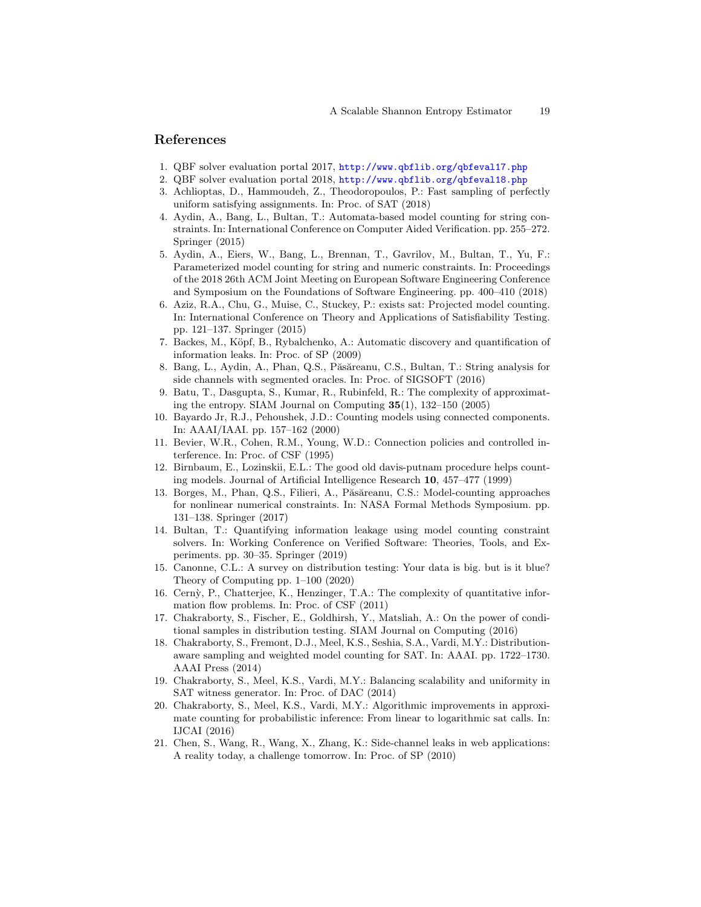### References

- <span id="page-18-19"></span>1. QBF solver evaluation portal 2017, <http://www.qbflib.org/qbfeval17.php>
- <span id="page-18-20"></span>2. QBF solver evaluation portal 2018, <http://www.qbflib.org/qbfeval18.php>
- <span id="page-18-10"></span>3. Achlioptas, D., Hammoudeh, Z., Theodoropoulos, P.: Fast sampling of perfectly uniform satisfying assignments. In: Proc. of SAT (2018)
- <span id="page-18-3"></span>4. Aydin, A., Bang, L., Bultan, T.: Automata-based model counting for string constraints. In: International Conference on Computer Aided Verification. pp. 255–272. Springer (2015)
- <span id="page-18-4"></span>5. Aydin, A., Eiers, W., Bang, L., Brennan, T., Gavrilov, M., Bultan, T., Yu, F.: Parameterized model counting for string and numeric constraints. In: Proceedings of the 2018 26th ACM Joint Meeting on European Software Engineering Conference and Symposium on the Foundations of Software Engineering. pp. 400–410 (2018)
- <span id="page-18-15"></span>6. Aziz, R.A., Chu, G., Muise, C., Stuckey, P.: exists sat: Projected model counting. In: International Conference on Theory and Applications of Satisfiability Testing. pp. 121–137. Springer (2015)
- <span id="page-18-1"></span>7. Backes, M., Köpf, B., Rybalchenko, A.: Automatic discovery and quantification of information leaks. In: Proc. of SP (2009)
- <span id="page-18-18"></span>8. Bang, L., Aydin, A., Phan, Q.S., Păsăreanu, C.S., Bultan, T.: String analysis for side channels with segmented oracles. In: Proc. of SIGSOFT (2016)
- <span id="page-18-7"></span>9. Batu, T., Dasgupta, S., Kumar, R., Rubinfeld, R.: The complexity of approximating the entropy. SIAM Journal on Computing  $35(1)$ ,  $132-150$  (2005)
- <span id="page-18-14"></span>10. Bayardo Jr, R.J., Pehoushek, J.D.: Counting models using connected components. In: AAAI/IAAI. pp. 157–162 (2000)
- <span id="page-18-0"></span>11. Bevier, W.R., Cohen, R.M., Young, W.D.: Connection policies and controlled interference. In: Proc. of CSF (1995)
- <span id="page-18-13"></span>12. Birnbaum, E., Lozinskii, E.L.: The good old davis-putnam procedure helps counting models. Journal of Artificial Intelligence Research 10, 457–477 (1999)
- <span id="page-18-9"></span>13. Borges, M., Phan, Q.S., Filieri, A., Păsăreanu, C.S.: Model-counting approaches for nonlinear numerical constraints. In: NASA Formal Methods Symposium. pp. 131–138. Springer (2017)
- <span id="page-18-5"></span>14. Bultan, T.: Quantifying information leakage using model counting constraint solvers. In: Working Conference on Verified Software: Theories, Tools, and Experiments. pp. 30–35. Springer (2019)
- <span id="page-18-12"></span>15. Canonne, C.L.: A survey on distribution testing: Your data is big. but is it blue? Theory of Computing pp. 1–100 (2020)
- <span id="page-18-6"></span>16. Cern`y, P., Chatterjee, K., Henzinger, T.A.: The complexity of quantitative information flow problems. In: Proc. of CSF (2011)
- <span id="page-18-8"></span>17. Chakraborty, S., Fischer, E., Goldhirsh, Y., Matsliah, A.: On the power of conditional samples in distribution testing. SIAM Journal on Computing (2016)
- <span id="page-18-16"></span>18. Chakraborty, S., Fremont, D.J., Meel, K.S., Seshia, S.A., Vardi, M.Y.: Distributionaware sampling and weighted model counting for SAT. In: AAAI. pp. 1722–1730. AAAI Press (2014)
- <span id="page-18-11"></span>19. Chakraborty, S., Meel, K.S., Vardi, M.Y.: Balancing scalability and uniformity in SAT witness generator. In: Proc. of DAC (2014)
- <span id="page-18-17"></span>20. Chakraborty, S., Meel, K.S., Vardi, M.Y.: Algorithmic improvements in approximate counting for probabilistic inference: From linear to logarithmic sat calls. In: IJCAI (2016)
- <span id="page-18-2"></span>21. Chen, S., Wang, R., Wang, X., Zhang, K.: Side-channel leaks in web applications: A reality today, a challenge tomorrow. In: Proc. of SP (2010)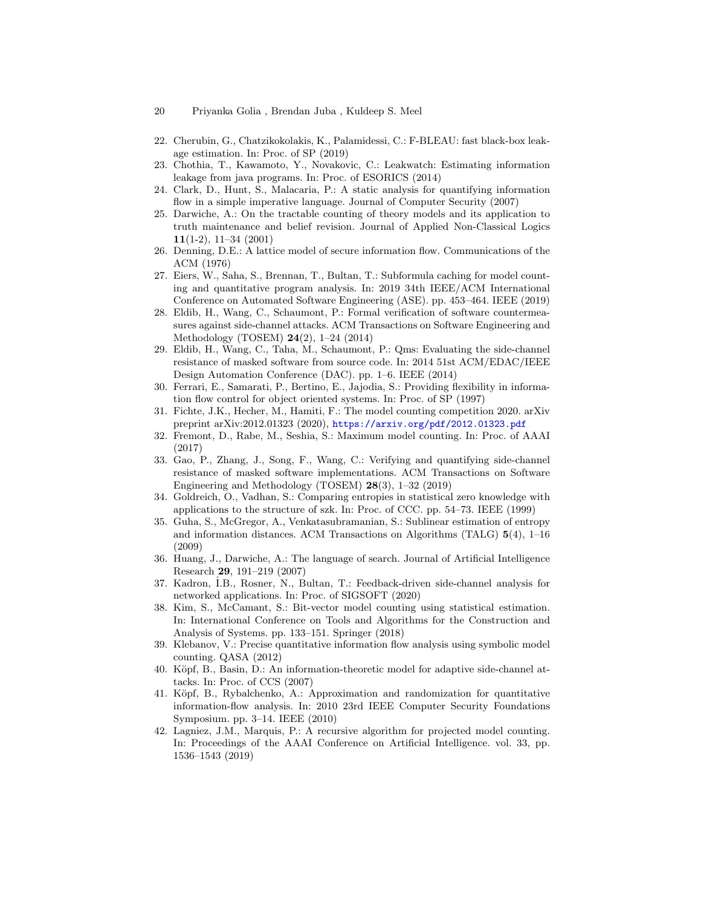- 20 Priyanka Golia , Brendan Juba , Kuldeep S. Meel
- <span id="page-19-18"></span>22. Cherubin, G., Chatzikokolakis, K., Palamidessi, C.: F-BLEAU: fast black-box leakage estimation. In: Proc. of SP (2019)
- <span id="page-19-17"></span>23. Chothia, T., Kawamoto, Y., Novakovic, C.: Leakwatch: Estimating information leakage from java programs. In: Proc. of ESORICS (2014)
- <span id="page-19-3"></span>24. Clark, D., Hunt, S., Malacaria, P.: A static analysis for quantifying information flow in a simple imperative language. Journal of Computer Security (2007)
- <span id="page-19-12"></span>25. Darwiche, A.: On the tractable counting of theory models and its application to truth maintenance and belief revision. Journal of Applied Non-Classical Logics 11(1-2), 11–34 (2001)
- <span id="page-19-0"></span>26. Denning, D.E.: A lattice model of secure information flow. Communications of the ACM (1976)
- <span id="page-19-6"></span>27. Eiers, W., Saha, S., Brennan, T., Bultan, T.: Subformula caching for model counting and quantitative program analysis. In: 2019 34th IEEE/ACM International Conference on Automated Software Engineering (ASE). pp. 453–464. IEEE (2019)
- <span id="page-19-15"></span>28. Eldib, H., Wang, C., Schaumont, P.: Formal verification of software countermeasures against side-channel attacks. ACM Transactions on Software Engineering and Methodology (TOSEM) 24(2), 1–24 (2014)
- <span id="page-19-16"></span>29. Eldib, H., Wang, C., Taha, M., Schaumont, P.: Qms: Evaluating the side-channel resistance of masked software from source code. In: 2014 51st ACM/EDAC/IEEE Design Automation Conference (DAC). pp. 1–6. IEEE (2014)
- <span id="page-19-1"></span>30. Ferrari, E., Samarati, P., Bertino, E., Jajodia, S.: Providing flexibility in information flow control for object oriented systems. In: Proc. of SP (1997)
- <span id="page-19-10"></span>31. Fichte, J.K., Hecher, M., Hamiti, F.: The model counting competition 2020. arXiv preprint arXiv:2012.01323 (2020), <https://arxiv.org/pdf/2012.01323.pdf>
- <span id="page-19-20"></span>32. Fremont, D., Rabe, M., Seshia, S.: Maximum model counting. In: Proc. of AAAI (2017)
- <span id="page-19-13"></span>33. Gao, P., Zhang, J., Song, F., Wang, C.: Verifying and quantifying side-channel resistance of masked software implementations. ACM Transactions on Software Engineering and Methodology (TOSEM) 28(3), 1–32 (2019)
- <span id="page-19-5"></span>34. Goldreich, O., Vadhan, S.: Comparing entropies in statistical zero knowledge with applications to the structure of szk. In: Proc. of CCC. pp. 54–73. IEEE (1999)
- <span id="page-19-4"></span>35. Guha, S., McGregor, A., Venkatasubramanian, S.: Sublinear estimation of entropy and information distances. ACM Transactions on Algorithms (TALG)  $5(4)$ , 1–16 (2009)
- <span id="page-19-11"></span>36. Huang, J., Darwiche, A.: The language of search. Journal of Artificial Intelligence Research 29, 191–219 (2007)
- <span id="page-19-8"></span>37. Kadron, ˙I.B., Rosner, N., Bultan, T.: Feedback-driven side-channel analysis for networked applications. In: Proc. of SIGSOFT (2020)
- <span id="page-19-14"></span>38. Kim, S., McCamant, S.: Bit-vector model counting using statistical estimation. In: International Conference on Tools and Algorithms for the Construction and Analysis of Systems. pp. 133–151. Springer (2018)
- <span id="page-19-7"></span>39. Klebanov, V.: Precise quantitative information flow analysis using symbolic model counting. QASA (2012)
- <span id="page-19-2"></span>40. Köpf, B., Basin, D.: An information-theoretic model for adaptive side-channel attacks. In: Proc. of CCS (2007)
- <span id="page-19-19"></span>41. Köpf, B., Rybalchenko, A.: Approximation and randomization for quantitative information-flow analysis. In: 2010 23rd IEEE Computer Security Foundations Symposium. pp. 3–14. IEEE (2010)
- <span id="page-19-9"></span>42. Lagniez, J.M., Marquis, P.: A recursive algorithm for projected model counting. In: Proceedings of the AAAI Conference on Artificial Intelligence. vol. 33, pp. 1536–1543 (2019)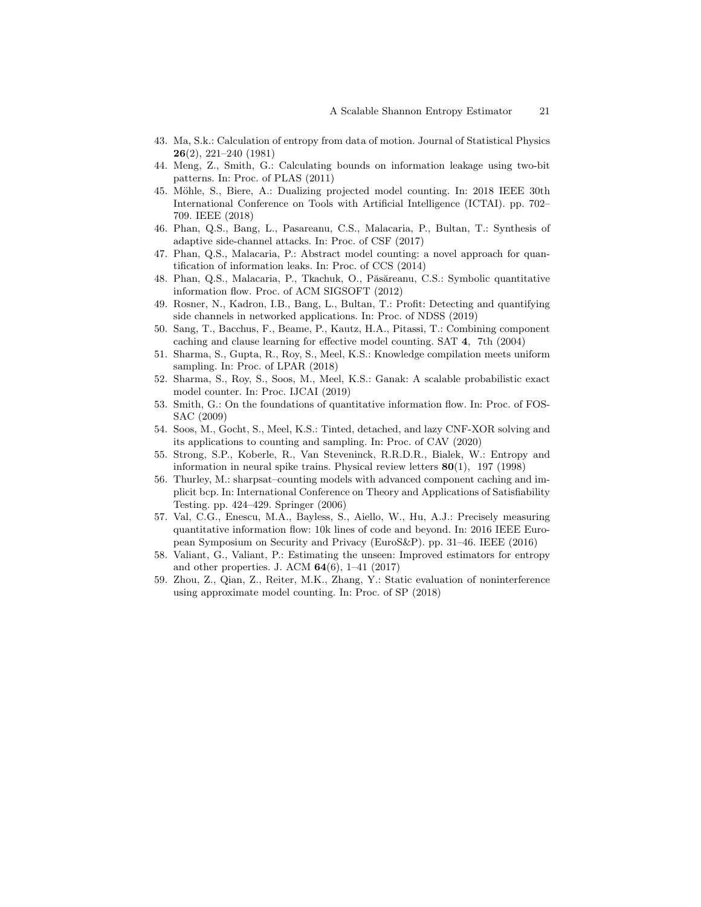- <span id="page-20-9"></span>43. Ma, S.k.: Calculation of entropy from data of motion. Journal of Statistical Physics 26(2), 221–240 (1981)
- <span id="page-20-5"></span>44. Meng, Z., Smith, G.: Calculating bounds on information leakage using two-bit patterns. In: Proc. of PLAS (2011)
- <span id="page-20-14"></span>45. Möhle, S., Biere, A.: Dualizing projected model counting. In: 2018 IEEE 30th International Conference on Tools with Artificial Intelligence (ICTAI). pp. 702– 709. IEEE (2018)
- <span id="page-20-16"></span>46. Phan, Q.S., Bang, L., Pasareanu, C.S., Malacaria, P., Bultan, T.: Synthesis of adaptive side-channel attacks. In: Proc. of CSF (2017)
- <span id="page-20-4"></span>47. Phan, Q.S., Malacaria, P.: Abstract model counting: a novel approach for quantification of information leaks. In: Proc. of CCS (2014)
- <span id="page-20-3"></span>48. Phan, Q.S., Malacaria, P., Tkachuk, O., Păsăreanu, C.S.: Symbolic quantitative information flow. Proc. of ACM SIGSOFT (2012)
- <span id="page-20-7"></span>49. Rosner, N., Kadron, I.B., Bang, L., Bultan, T.: Profit: Detecting and quantifying side channels in networked applications. In: Proc. of NDSS (2019)
- <span id="page-20-12"></span>50. Sang, T., Bacchus, F., Beame, P., Kautz, H.A., Pitassi, T.: Combining component caching and clause learning for effective model counting. SAT 4, 7th (2004)
- <span id="page-20-15"></span>51. Sharma, S., Gupta, R., Roy, S., Meel, K.S.: Knowledge compilation meets uniform sampling. In: Proc. of LPAR (2018)
- <span id="page-20-8"></span>52. Sharma, S., Roy, S., Soos, M., Meel, K.S.: Ganak: A scalable probabilistic exact model counter. In: Proc. IJCAI (2019)
- <span id="page-20-0"></span>53. Smith, G.: On the foundations of quantitative information flow. In: Proc. of FOS-SAC (2009)
- <span id="page-20-11"></span>54. Soos, M., Gocht, S., Meel, K.S.: Tinted, detached, and lazy CNF-XOR solving and its applications to counting and sampling. In: Proc. of CAV (2020)
- <span id="page-20-10"></span>55. Strong, S.P., Koberle, R., Van Steveninck, R.R.D.R., Bialek, W.: Entropy and information in neural spike trains. Physical review letters  $80(1)$ , 197 (1998)
- <span id="page-20-13"></span>56. Thurley, M.: sharpsat–counting models with advanced component caching and implicit bcp. In: International Conference on Theory and Applications of Satisfiability Testing. pp. 424–429. Springer (2006)
- <span id="page-20-1"></span>57. Val, C.G., Enescu, M.A., Bayless, S., Aiello, W., Hu, A.J.: Precisely measuring quantitative information flow: 10k lines of code and beyond. In: 2016 IEEE European Symposium on Security and Privacy (EuroS&P). pp. 31–46. IEEE (2016)
- <span id="page-20-6"></span>58. Valiant, G., Valiant, P.: Estimating the unseen: Improved estimators for entropy and other properties. J. ACM  $64(6)$ , 1–41 (2017)
- <span id="page-20-2"></span>59. Zhou, Z., Qian, Z., Reiter, M.K., Zhang, Y.: Static evaluation of noninterference using approximate model counting. In: Proc. of SP (2018)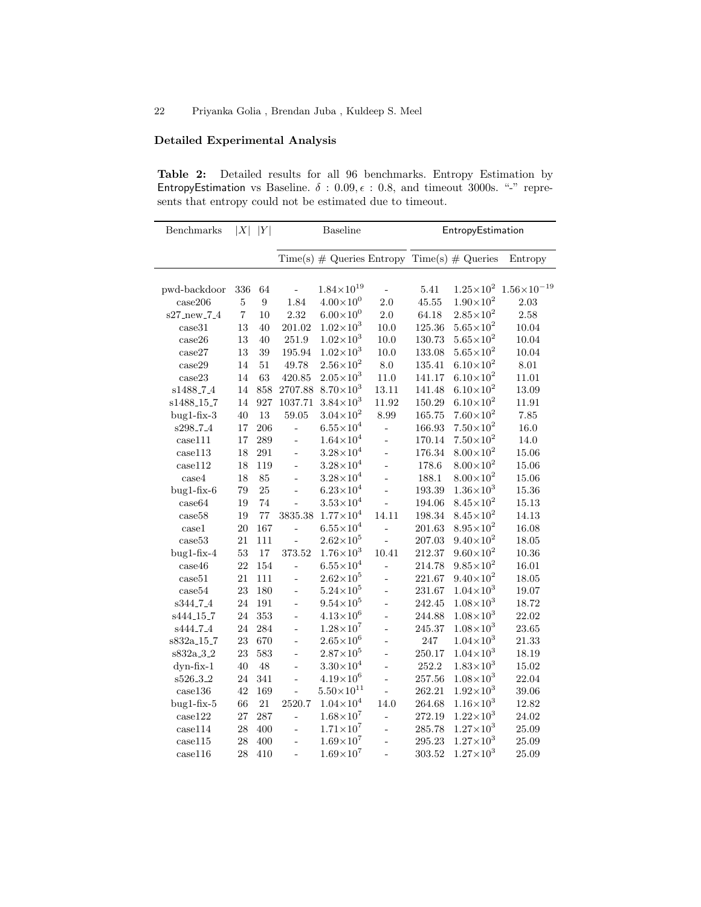# Detailed Experimental Analysis

Table 2: Detailed results for all 96 benchmarks. Entropy Estimation by EntropyEstimation vs Baseline.  $\delta$  : 0.09,  $\epsilon$  : 0.8, and timeout 3000s. "-" represents that entropy could not be estimated due to timeout.

| Benchmarks             | $ X $  Y       |                  | Baseline       |                                               |                 | EntropyEstimation |                      |                        |  |
|------------------------|----------------|------------------|----------------|-----------------------------------------------|-----------------|-------------------|----------------------|------------------------|--|
|                        |                |                  |                | $Time(s)$ # Queries Entropy Time(s) # Queries |                 |                   |                      | Entropy                |  |
| pwd-backdoor           | $336\,$        | 64               |                | $1.84\!\times\!10^{19}$                       |                 | $5.41\,$          | $1.25{\times}10^2$   | $1.56 \times 10^{-19}$ |  |
| case206                | $\bf 5$        | $\boldsymbol{9}$ | 1.84           | $4.00\times10^{0}$                            | $2.0\,$         | 45.55             | $1.90\times10^{2}$   | $2.03\,$               |  |
| s27_new_7_4            | $\overline{7}$ | 10               | $2.32\,$       | $6.00\times10^{0}$                            | $2.0\,$         | 64.18             | $2.85 \times 10^{2}$ | $2.58\,$               |  |
| case31                 | 13             | 40               | 201.02         | $1.02\!\times\!10^3$                          | $10.0\,$        | 125.36            | $5.65\times10^{2}$   | 10.04                  |  |
| case26                 | $13\,$         | 40               | $251.9\,$      | $1.02 \times 10^{3}$                          | $10.0\,$        | 130.73            | $5.65{\times}10^2$   | 10.04                  |  |
| case27                 | 13             | 39               | 195.94         | $1.02 \times 10^{3}$                          | 10.0            | 133.08            | $5.65\times10^{2}$   | 10.04                  |  |
| case29                 | 14             | $51\,$           | 49.78          | $2.56\times10^{2}$                            | $\!\!\!\!\!8.0$ | 135.41            | $6.10\times10^{2}$   | 8.01                   |  |
| case23                 | 14             | 63               | 420.85         | $2.05\times10^{3}$                            | 11.0            | 141.17            | $6.10\times10^{2}$   | 11.01                  |  |
| s1488 <sub>-7-4</sub>  | 14             | 858              | 2707.88        | $8.70\times10^{3}$                            | 13.11           | 141.48            | $6.10\times10^{2}$   | 13.09                  |  |
| s1488 <sub>-15-7</sub> | 14             | 927              | 1037.71        | $3.84 \times 10^{3}$                          | 11.92           | 150.29            | $6.10\times10^{2}$   | 11.91                  |  |
| $bug1-fix-3$           | 40             | 13               | 59.05          | $3.04\times10^{2}$                            | 8.99            | 165.75            | $7.60\times10^{2}$   | 7.85                   |  |
| s298_7_4               | 17             | 206              |                | $6.55\times10^{4}$                            | $\overline{a}$  | 166.93            | $7.50\times10^{2}$   | 16.0                   |  |
| case111                | 17             | 289              |                | $1.64\!\times\!10^4$                          | $\overline{a}$  | 170.14            | $7.50\times10^{2}$   | 14.0                   |  |
| case113                | 18             | 291              | $\overline{a}$ | $3.28 \times 10^{4}$                          | $\overline{a}$  | 176.34            | $8.00\times10^{2}$   | 15.06                  |  |
| case112                | 18             | 119              | $\overline{a}$ | $3.28 \times 10^{4}$                          | $\overline{a}$  | 178.6             | $8.00\times10^{2}$   | 15.06                  |  |
| case4                  | 18             | 85               |                | $3.28 \times 10^{4}$                          | $\overline{a}$  | 188.1             | $8.00\times10^{2}$   | 15.06                  |  |
| $bug1-fix-6$           | 79             | 25               |                | $6.23\times10^{4}$                            | $\overline{a}$  | 193.39            | $1.36\times10^{3}$   | 15.36                  |  |
| case64                 | 19             | 74               | $\overline{a}$ | $3.53{\times}10^4$                            | $\overline{a}$  | 194.06            | $8.45\times10^{2}$   | 15.13                  |  |
| case58                 | 19             | 77               | 3835.38        | $1.77\times10^{4}$                            | 14.11           | 198.34            | $8.45 \times 10^{2}$ | 14.13                  |  |
| case1                  | $20\,$         | 167              | ÷,             | $6.55{\times}10^4$                            | $\overline{a}$  | 201.63            | $8.95 \times 10^{2}$ | 16.08                  |  |
| case53                 | 21             | 111              | $\overline{a}$ | $2.62\times10^{5}$                            |                 | 207.03            | $9.40\times10^{2}$   | 18.05                  |  |
| $bug1-fix-4$           | 53             | 17               | 373.52         | $1.76 \times 10^{3}$                          | 10.41           | 212.37            | $9.60\times10^{2}$   | 10.36                  |  |
| case46                 | 22             | 154              | $\overline{a}$ | $6.55\times10^{4}$                            |                 | 214.78            | $9.85 \times 10^{2}$ | 16.01                  |  |
| case51                 | 21             | 111              | $\overline{a}$ | $2.62\times10^{5}$                            | $\overline{a}$  | 221.67            | $9.40\times10^{2}$   | 18.05                  |  |
| case54                 | 23             | 180              | $\overline{a}$ | $5.24 \times 10^{5}$                          | $\overline{a}$  | 231.67            | $1.04 \times 10^{3}$ | 19.07                  |  |
| s344_7_4               | 24             | 191              | $\overline{a}$ | $9.54\times10^{5}$                            | $\overline{a}$  | 242.45            | $1.08\times10^{3}$   | 18.72                  |  |
| s444 <sub>-15-7</sub>  | 24             | $353\,$          | ÷,             | $4.13 \times 10^{6}$                          | $\overline{a}$  | 244.88            | $1.08\times10^{3}$   | 22.02                  |  |
| s444 <sub>-7-4</sub>   | 24             | 284              | $\overline{a}$ | $1.28 \times 10^{7}$                          | $\overline{a}$  | 245.37            | $1.08\times10^{3}$   | 23.65                  |  |
| s832a_15_7             | 23             | 670              | $\overline{a}$ | $2.65{\times}10^6$                            | $\overline{a}$  | 247               | $1.04\times10^{3}$   | 21.33                  |  |
| s832a_3_2              | 23             | 583              | $\overline{a}$ | $2.87\times10^{5}$                            | $\overline{a}$  | 250.17            | $1.04 \times 10^{3}$ | 18.19                  |  |
| dyn-fix-1              | 40             | $48\,$           | L,             | $3.30\times10^{4}$                            | $\overline{a}$  | 252.2             | $1.83 \times 10^{3}$ | 15.02                  |  |
| s526_3_2               | $24\,$         | 341              | $\overline{a}$ | $4.19{\times}10^6$                            | $\overline{a}$  | 257.56            | $1.08\times10^{3}$   | 22.04                  |  |
| case136                | 42             | 169              | $\frac{1}{2}$  | $5.50\times10^{11}$                           | $\overline{a}$  | 262.21            | $1.92\times10^{3}$   | 39.06                  |  |
| $bug1-fix-5$           | 66             | $21\,$           | 2520.7         | $1.04 \times 10^{4}$                          | 14.0            | 264.68            | $1.16 \times 10^{3}$ | 12.82                  |  |
| case122                | 27             | 287              | $\overline{a}$ | $1.68{\times}10^7$                            | $\overline{a}$  | 272.19            | $1.22\times10^3$     | 24.02                  |  |
| case114                | 28             | 400              | $\overline{a}$ | $1.71 \times 10^{7}$                          | $\overline{a}$  | 285.78            | $1.27\times10^{3}$   | 25.09                  |  |
| case115                | 28             | 400              | $\frac{1}{2}$  | $1.69\times10^{7}$                            | $\overline{a}$  | 295.23            | $1.27\times10^{3}$   | 25.09                  |  |
| case116                | 28             | 410              |                | $1.69{\times}10^7$                            |                 | 303.52            | $1.27\times10^{3}$   | 25.09                  |  |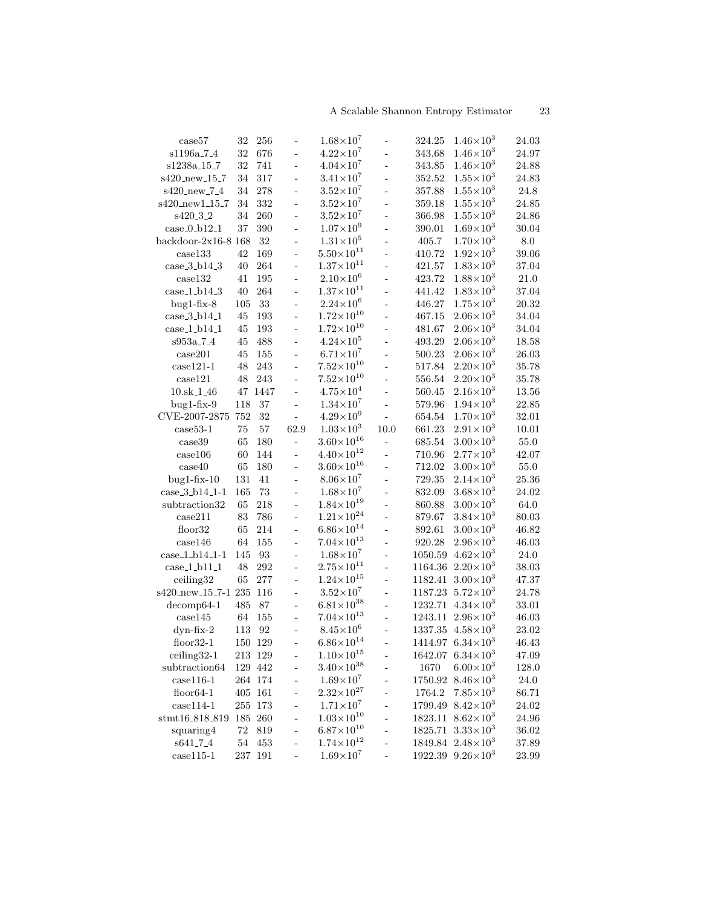| case57                 | 32     | 256     |                          | $1.68\!\times\!10^7$    |                | 324.25      | $1.46 \times 10^{3}$           | 24.03     |
|------------------------|--------|---------|--------------------------|-------------------------|----------------|-------------|--------------------------------|-----------|
| s1196a <sub>-7-4</sub> | 32     | 676     | $\frac{1}{2}$            | $4.22 \times 10^7$      | $\overline{a}$ | 343.68      | $1.46\times10^{3}$             | 24.97     |
| s1238a_15_7            | 32     | 741     | ÷,                       | $4.04 \times 10^{7}$    | $\overline{a}$ | 343.85      | $1.46\times10^{3}$             | 24.88     |
| s420_new_15_7          | 34     | 317     | $\overline{a}$           | $3.41\times10^7$        | $\frac{1}{2}$  | 352.52      | $1.55 \times 10^{3}$           | 24.83     |
| s420_new_7_4           | 34     | 278     | $\overline{a}$           | $3.52\times10^7$        | $\overline{a}$ | 357.88      | $1.55 \times 10^{3}$           | 24.8      |
| s420_new1_15_7         | 34     | 332     | $\overline{a}$           | $3.52\times10^7$        | $\overline{a}$ | 359.18      | $1.55 \times 10^{3}$           | 24.85     |
| s420_3_2               | 34     | 260     | $\overline{a}$           | $3.52\!\times\!10^7$    | $\overline{a}$ | 366.98      | $1.55 \times 10^{3}$           | 24.86     |
| $case_0_b12_1$         | 37     | 390     | $\overline{\phantom{a}}$ | $1.07\times10^{9}$      | $\frac{1}{2}$  | 390.01      | $1.69\times10^{3}$             | 30.04     |
| backdoor-2x16-8 $168$  |        | 32      | $\frac{1}{2}$            | $1.31 \times 10^{5}$    | $\frac{1}{2}$  | 405.7       | $1.70\times10^{3}$             | $\rm 8.0$ |
| case133                | 42     | 169     | $\overline{a}$           | $5.50{\times}10^{11}$   | $\overline{a}$ | 410.72      | $1.92 \times 10^{3}$           | 39.06     |
| case.3.b14.3           | 40     | 264     | $\overline{a}$           | $1.37\times10^{11}$     | $\overline{a}$ | 421.57      | $1.83 \times 10^{3}$           | 37.04     |
| case132                | 41     | 195     | $\overline{a}$           | $2.10\times10^{6}$      | $\overline{a}$ | 423.72      | $1.88 \times 10^{3}$           | $21.0\,$  |
| case1.b14.3            | 40     | 264     | $\overline{a}$           | $1.37\times10^{11}$     | $\overline{a}$ | 441.42      | $1.83{\times}10^3$             | 37.04     |
| $bug1-fix-8$           | 105    | 33      | $\overline{\phantom{a}}$ | $2.24 \times 10^{6}$    | $\frac{1}{2}$  | 446.27      | $1.75 \times 10^{3}$           | 20.32     |
| case.3.b14.1           | 45     | 193     | $\overline{a}$           | $1.72\times10^{10}$     | $\overline{a}$ | 467.15      | $2.06\times10^{3}$             | 34.04     |
| $case_1_b14_1$         | 45     | 193     |                          | $1.72\times10^{10}$     | $\overline{a}$ | 481.67      | $2.06\times10^{3}$             | 34.04     |
| s953a_7_4              | 45     | 488     | $\overline{a}$           | $4.24\!\times\!10^5$    | $\overline{a}$ | 493.29      | $2.06\times10^{3}$             | 18.58     |
| case201                | 45     | 155     | $\frac{1}{2}$            | $6.71\times10^{7}$      | $\frac{1}{2}$  | 500.23      | $2.06\times10^{3}$             | 26.03     |
| $case121-1$            | 48     | 243     | $\frac{1}{2}$            | $7.52\times10^{10}$     | $\overline{a}$ | 517.84      | $2.20\times10^{3}$             | 35.78     |
| case121                | 48     | 243     | $\Box$                   | $7.52\times10^{10}$     | $\frac{1}{2}$  | 556.54      | $2.20{\times}10^3$             | 35.78     |
| 10.sk <sub>-1-46</sub> | 47     | 1447    | ÷,                       | $4.75 \times 10^{4}$    | $\overline{a}$ | 560.45      | $2.16\times10^{3}$             | 13.56     |
| $bug1-fix-9$           | 118    | 37      | $\overline{a}$           | $1.34\!\times\!10^7$    | L.             | 579.96      | $1.94 \times 10^{3}$           | 22.85     |
| CVE-2007-2875          | 752    | 32      | ÷,                       | $4.29\times10^{9}$      | $\overline{a}$ | 654.54      | $1.70\times10^{3}$             | 32.01     |
| $case53-1$             | 75     | 57      | 62.9                     | $1.03{\times}10^3$      | 10.0           | 661.23      | $2.91\times10^{3}$             | 10.01     |
| case39                 | 65     | 180     | $\blacksquare$           | $3.60\times10^{16}$     | ÷,             | 685.54      | $3.00\times10^{3}$             | $55.0\,$  |
| case106                | 60     | 144     | $\overline{\phantom{a}}$ | $4.40\times10^{12}$     | $\overline{a}$ | 710.96      | $2.77\times10^{3}$             | 42.07     |
| case40                 | 65     | 180     | ÷,                       | $3.60\times10^{16}$     | $\frac{1}{2}$  | 712.02      | $3.00\times10^{3}$             | $55.0\,$  |
| $bug1-fix-10$          | 131    | 41      | $\overline{a}$           | $8.06\times10^{7}$      | $\overline{a}$ | 729.35      | $2.14 \times 10^{3}$           | 25.36     |
| case_3_b14_1-1         | 165    | 73      | $\overline{a}$           | $1.68\times10^{7}$      | $\overline{a}$ | 832.09      | $3.68\times10^{3}$             | 24.02     |
| subtraction32          | 65     | 218     | $\overline{a}$           | $1.84\times10^{19}$     | $\overline{a}$ | 860.88      | $3.00\times10^{3}$             | 64.0      |
| case211                | 83     | 786     | $\overline{\phantom{a}}$ | $1.21 \times 10^{24}$   | $\frac{1}{2}$  | 879.67      | $3.84 \times 10^{3}$           | 80.03     |
| floor32                | 65     | 214     | $\overline{\phantom{a}}$ | $6.86\times10^{14}$     | $\frac{1}{2}$  | 892.61      | $3.00{\times}10^3$             | 46.82     |
| case146                | 64     | 155     | $\overline{a}$           | $7.04{\times}10^{13}$   | $\frac{1}{2}$  | 920.28      | $2.96\times10^{3}$             | 46.03     |
| case_1_b14_1-1         | 145    | 93      | $\frac{1}{2}$            | $1.68\times10^{7}$      | $\frac{1}{2}$  | 1050.59     | $4.62 \times 10^3$             | $24.0\,$  |
| $case_1_b11_1$         | 48     | 292     |                          | $2.75\times10^{11}$     | $\overline{a}$ | $1164.36\,$ | $2.20\times10^{3}$             | 38.03     |
| ceiling32              | $65\,$ | $277\,$ | $\overline{a}$           | $1.24\!\times\!10^{15}$ | $\overline{a}$ | 1182.41     | $3.00\times10^{3}$             | 47.37     |
| s420_new_15_7-1 235    |        | 116     | $\blacksquare$           | $3.52 \times 10^{7}$    | $\frac{1}{2}$  | 1187.23     | $5.72\times10^{3}$             | 24.78     |
| $decomp64-1$           | 485    | 87      | $\overline{\phantom{a}}$ | $6.81\times10^{38}$     |                | 1232.71     | $4.34 \times 10^3$             | 33.01     |
| case145                | $64\,$ | 155     |                          | $7.04\!\times\!10^{13}$ |                | 1243.11     | $2.96\times10^{3}$             | 46.03     |
| dyn-fix-2              | 113    | 92      |                          | $8.45 \times 10^{6}$    | $\overline{a}$ |             | 1337.35 $4.58 \times 10^3$     | 23.02     |
| floor $32-1$           |        | 150 129 |                          | $6.86{\times}10^{14}$   |                |             | 1414.97 $6.34 \times 10^3$     | 46.43     |
| ceiling32-1            |        | 213 129 | -                        | $1.10\times10^{15}$     |                |             | $1642.07$ 6.34 $\times$ $10^3$ | 47.09     |
| subtraction64          |        | 129 442 | $\overline{\phantom{0}}$ | $3.40{\times}10^{38}$   | ÷,             | 1670        | $6.00\times10^{3}$             | 128.0     |
| $case116-1$            |        | 264 174 | ÷,                       | $1.69\times10^{7}$      | ÷              | 1750.92     | $8.46 \times 10^{3}$           | 24.0      |
| $floor64-1$            |        | 405 161 | $\overline{a}$           | $2.32{\times}10^{27}$   | L,             | 1764.2      | $7.85\times10^{3}$             | 86.71     |
| $case114-1$            |        | 255 173 | $\overline{a}$           | $1.71 \times 10^{7}$    | $\overline{a}$ |             | 1799.49 $8.42 \times 10^3$     | 24.02     |
| stmt16_818_819         |        | 185 260 | $\overline{a}$           | $1.03{\times}10^{10}$   | $\overline{a}$ |             | $1823.11$ $8.62 \times 10^3$   | 24.96     |
| squaring4              | 72     | 819     | $\overline{a}$           | $6.87\times10^{10}$     | $\overline{a}$ |             | $1825.71$ $3.33 \times 10^3$   | 36.02     |
| s641 <sub>-7-4</sub>   | $54\,$ | $453\,$ | $\overline{a}$           | $1.74{\times}10^{12}$   | $\overline{a}$ |             | $1849.84$ $2.48 \times 10^3$   | 37.89     |
| $case115-1$            |        | 237 191 |                          | $1.69{\times}10^7$      |                |             | $1922.39$ $9.26 \times 10^3$   | 23.99     |
|                        |        |         |                          |                         |                |             |                                |           |